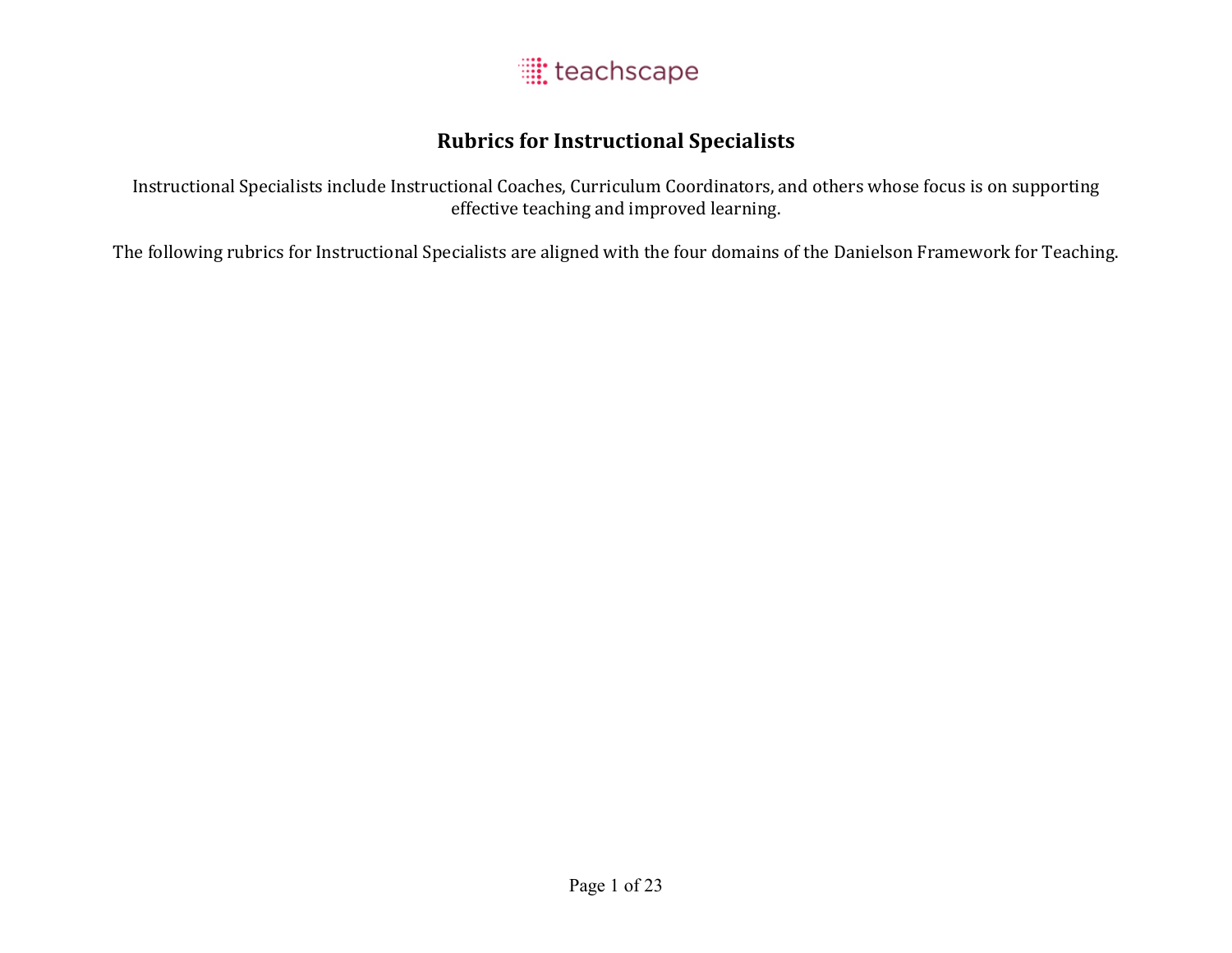

### **Rubrics for Instructional Specialists**

Instructional Specialists include Instructional Coaches, Curriculum Coordinators, and others whose focus is on supporting effective teaching and improved learning.

The following rubrics for Instructional Specialists are aligned with the four domains of the Danielson Framework for Teaching.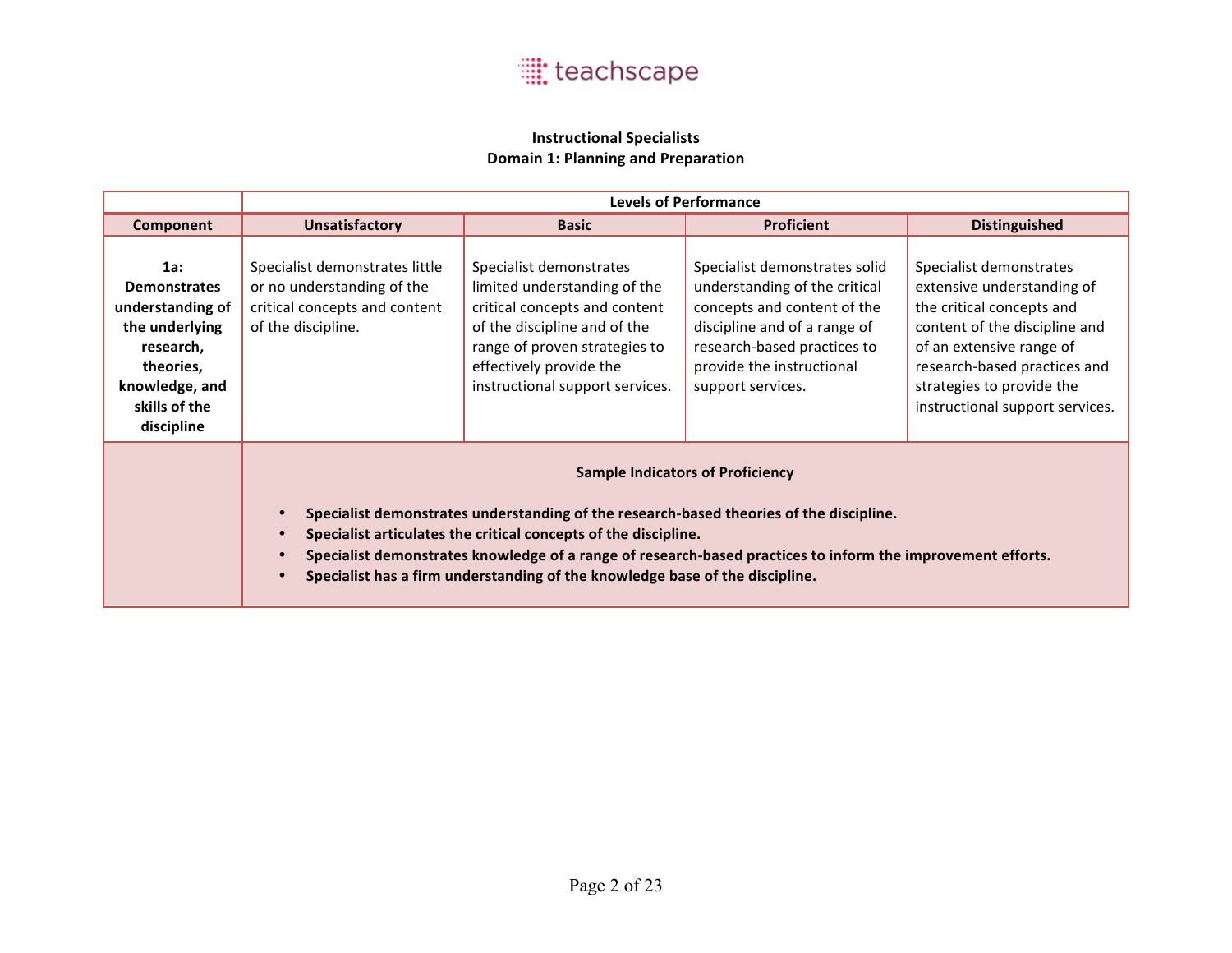

#### **Instructional Specialists Domain 1: Planning and Preparation**

|                                                                                                                                             |                                                                                                                                                                                                                                                                                                                                                                                                      | <b>Levels of Performance</b>                                                                                                                                                                                            |                                                                                                                                                                                                                |                                                                                                                                                                                                                                                 |  |
|---------------------------------------------------------------------------------------------------------------------------------------------|------------------------------------------------------------------------------------------------------------------------------------------------------------------------------------------------------------------------------------------------------------------------------------------------------------------------------------------------------------------------------------------------------|-------------------------------------------------------------------------------------------------------------------------------------------------------------------------------------------------------------------------|----------------------------------------------------------------------------------------------------------------------------------------------------------------------------------------------------------------|-------------------------------------------------------------------------------------------------------------------------------------------------------------------------------------------------------------------------------------------------|--|
| Component                                                                                                                                   | <b>Unsatisfactory</b>                                                                                                                                                                                                                                                                                                                                                                                | <b>Basic</b>                                                                                                                                                                                                            | <b>Proficient</b>                                                                                                                                                                                              | <b>Distinguished</b>                                                                                                                                                                                                                            |  |
| 1a:<br><b>Demonstrates</b><br>understanding of<br>the underlying<br>research,<br>theories,<br>knowledge, and<br>skills of the<br>discipline | Specialist demonstrates little<br>or no understanding of the<br>critical concepts and content<br>of the discipline.                                                                                                                                                                                                                                                                                  | Specialist demonstrates<br>limited understanding of the<br>critical concepts and content<br>of the discipline and of the<br>range of proven strategies to<br>effectively provide the<br>instructional support services. | Specialist demonstrates solid<br>understanding of the critical<br>concepts and content of the<br>discipline and of a range of<br>research-based practices to<br>provide the instructional<br>support services. | Specialist demonstrates<br>extensive understanding of<br>the critical concepts and<br>content of the discipline and<br>of an extensive range of<br>research-based practices and<br>strategies to provide the<br>instructional support services. |  |
|                                                                                                                                             | <b>Sample Indicators of Proficiency</b><br>Specialist demonstrates understanding of the research-based theories of the discipline.<br>Specialist articulates the critical concepts of the discipline.<br>Specialist demonstrates knowledge of a range of research-based practices to inform the improvement efforts.<br>Specialist has a firm understanding of the knowledge base of the discipline. |                                                                                                                                                                                                                         |                                                                                                                                                                                                                |                                                                                                                                                                                                                                                 |  |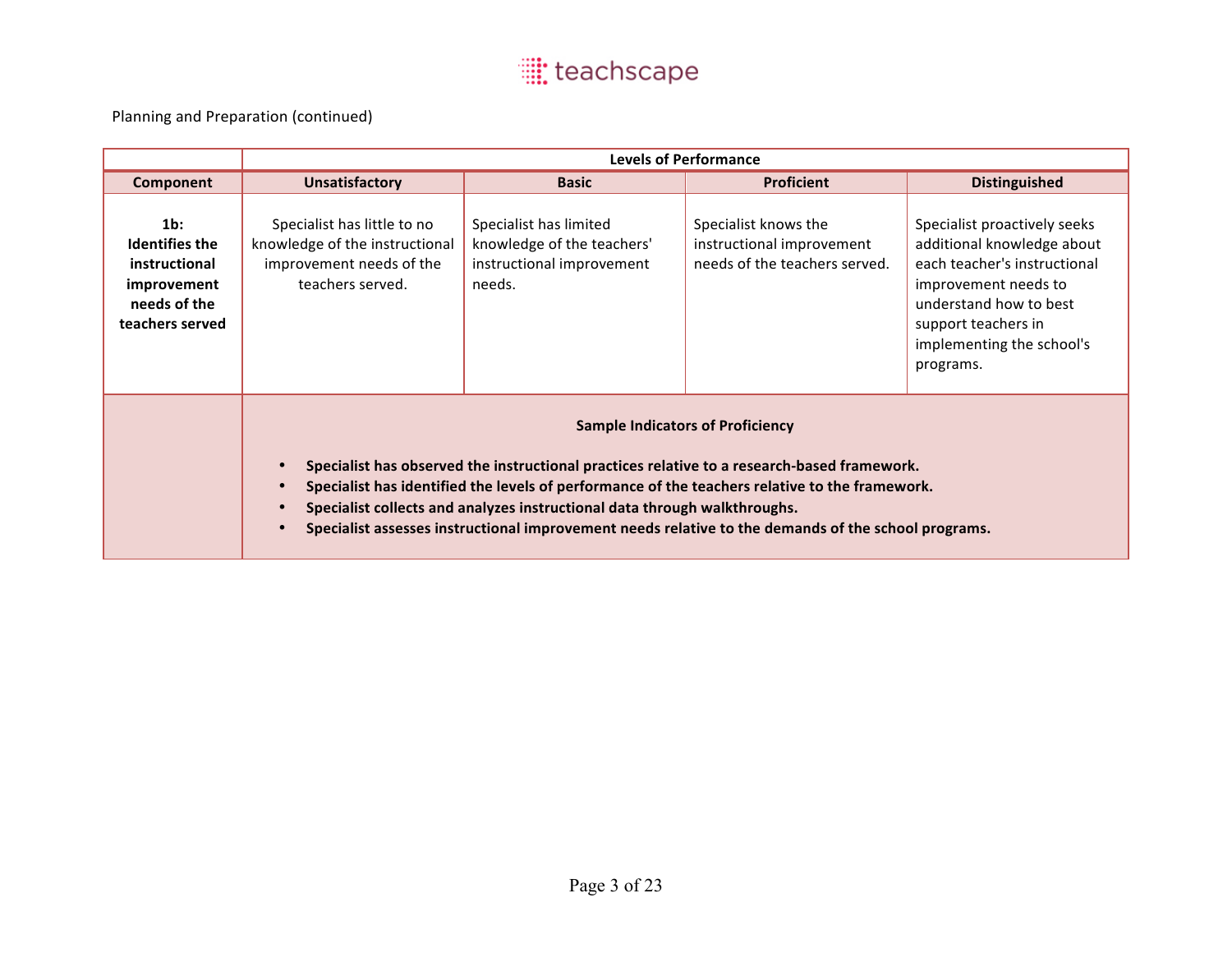|                                                                                                    | <b>Levels of Performance</b>                                                                                                                                                                                                                                                                                                                                                                                                 |                                                                                             |                                                                                    |                                                                                                                                                                                                               |
|----------------------------------------------------------------------------------------------------|------------------------------------------------------------------------------------------------------------------------------------------------------------------------------------------------------------------------------------------------------------------------------------------------------------------------------------------------------------------------------------------------------------------------------|---------------------------------------------------------------------------------------------|------------------------------------------------------------------------------------|---------------------------------------------------------------------------------------------------------------------------------------------------------------------------------------------------------------|
| Component                                                                                          | <b>Unsatisfactory</b>                                                                                                                                                                                                                                                                                                                                                                                                        | <b>Basic</b>                                                                                | <b>Proficient</b>                                                                  | <b>Distinguished</b>                                                                                                                                                                                          |
| $1b$ :<br><b>Identifies the</b><br>instructional<br>improvement<br>needs of the<br>teachers served | Specialist has little to no<br>knowledge of the instructional<br>improvement needs of the<br>teachers served.                                                                                                                                                                                                                                                                                                                | Specialist has limited<br>knowledge of the teachers'<br>instructional improvement<br>needs. | Specialist knows the<br>instructional improvement<br>needs of the teachers served. | Specialist proactively seeks<br>additional knowledge about<br>each teacher's instructional<br>improvement needs to<br>understand how to best<br>support teachers in<br>implementing the school's<br>programs. |
|                                                                                                    | <b>Sample Indicators of Proficiency</b><br>Specialist has observed the instructional practices relative to a research-based framework.<br>Specialist has identified the levels of performance of the teachers relative to the framework.<br>Specialist collects and analyzes instructional data through walkthroughs.<br>Specialist assesses instructional improvement needs relative to the demands of the school programs. |                                                                                             |                                                                                    |                                                                                                                                                                                                               |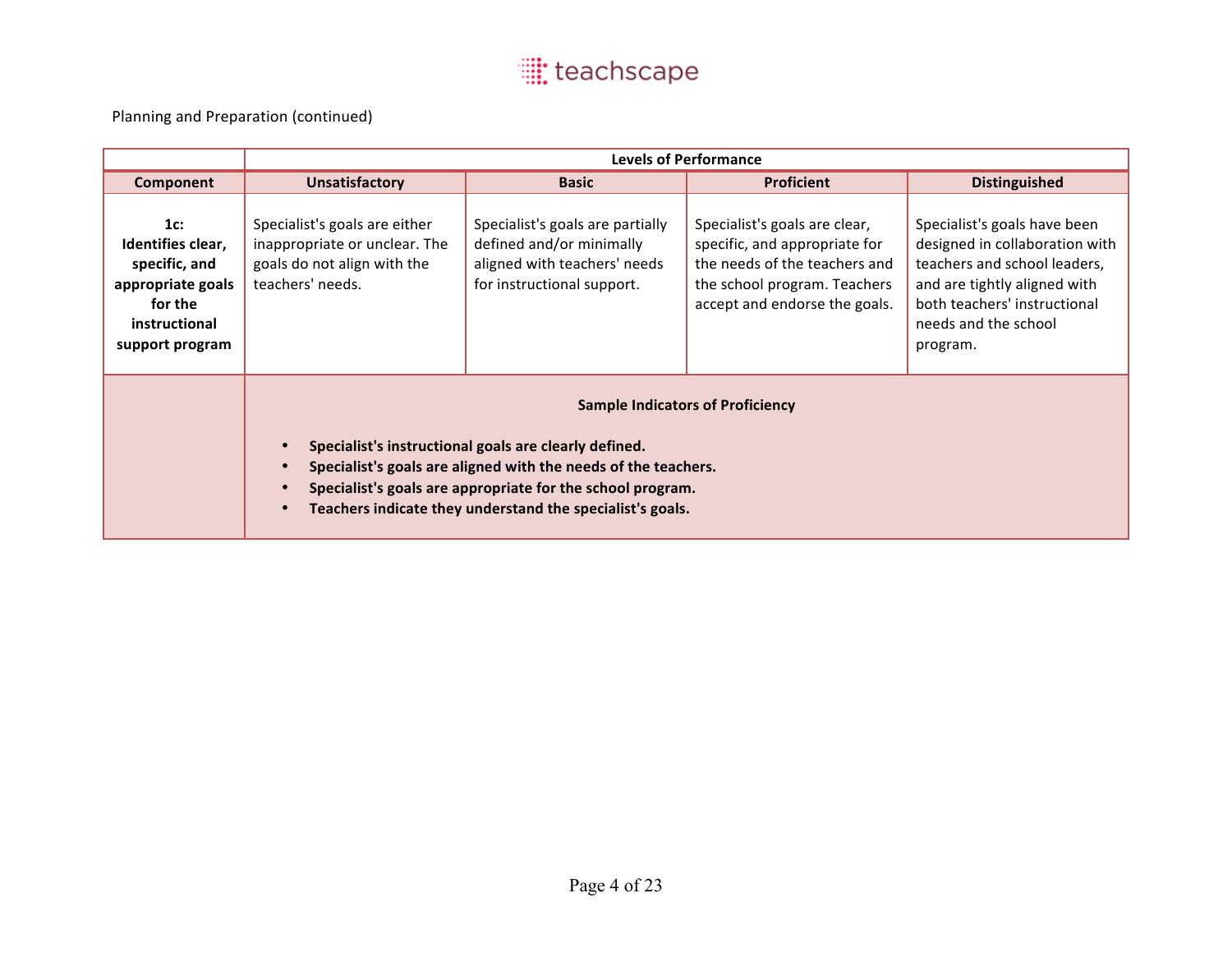|                                                                                                               | <b>Levels of Performance</b>                                                                                                                                                                                                                                                                                                         |                                                                                                                            |                                                                                                                                                                  |                                                                                                                                                                                                    |
|---------------------------------------------------------------------------------------------------------------|--------------------------------------------------------------------------------------------------------------------------------------------------------------------------------------------------------------------------------------------------------------------------------------------------------------------------------------|----------------------------------------------------------------------------------------------------------------------------|------------------------------------------------------------------------------------------------------------------------------------------------------------------|----------------------------------------------------------------------------------------------------------------------------------------------------------------------------------------------------|
| Component                                                                                                     | <b>Unsatisfactory</b>                                                                                                                                                                                                                                                                                                                | <b>Basic</b>                                                                                                               | <b>Proficient</b>                                                                                                                                                | <b>Distinguished</b>                                                                                                                                                                               |
| 1c:<br>Identifies clear,<br>specific, and<br>appropriate goals<br>for the<br>instructional<br>support program | Specialist's goals are either<br>inappropriate or unclear. The<br>goals do not align with the<br>teachers' needs.                                                                                                                                                                                                                    | Specialist's goals are partially<br>defined and/or minimally<br>aligned with teachers' needs<br>for instructional support. | Specialist's goals are clear,<br>specific, and appropriate for<br>the needs of the teachers and<br>the school program. Teachers<br>accept and endorse the goals. | Specialist's goals have been<br>designed in collaboration with<br>teachers and school leaders,<br>and are tightly aligned with<br>both teachers' instructional<br>needs and the school<br>program. |
|                                                                                                               | <b>Sample Indicators of Proficiency</b><br>Specialist's instructional goals are clearly defined.<br>Specialist's goals are aligned with the needs of the teachers.<br>$\bullet$<br>Specialist's goals are appropriate for the school program.<br>$\bullet$<br>Teachers indicate they understand the specialist's goals.<br>$\bullet$ |                                                                                                                            |                                                                                                                                                                  |                                                                                                                                                                                                    |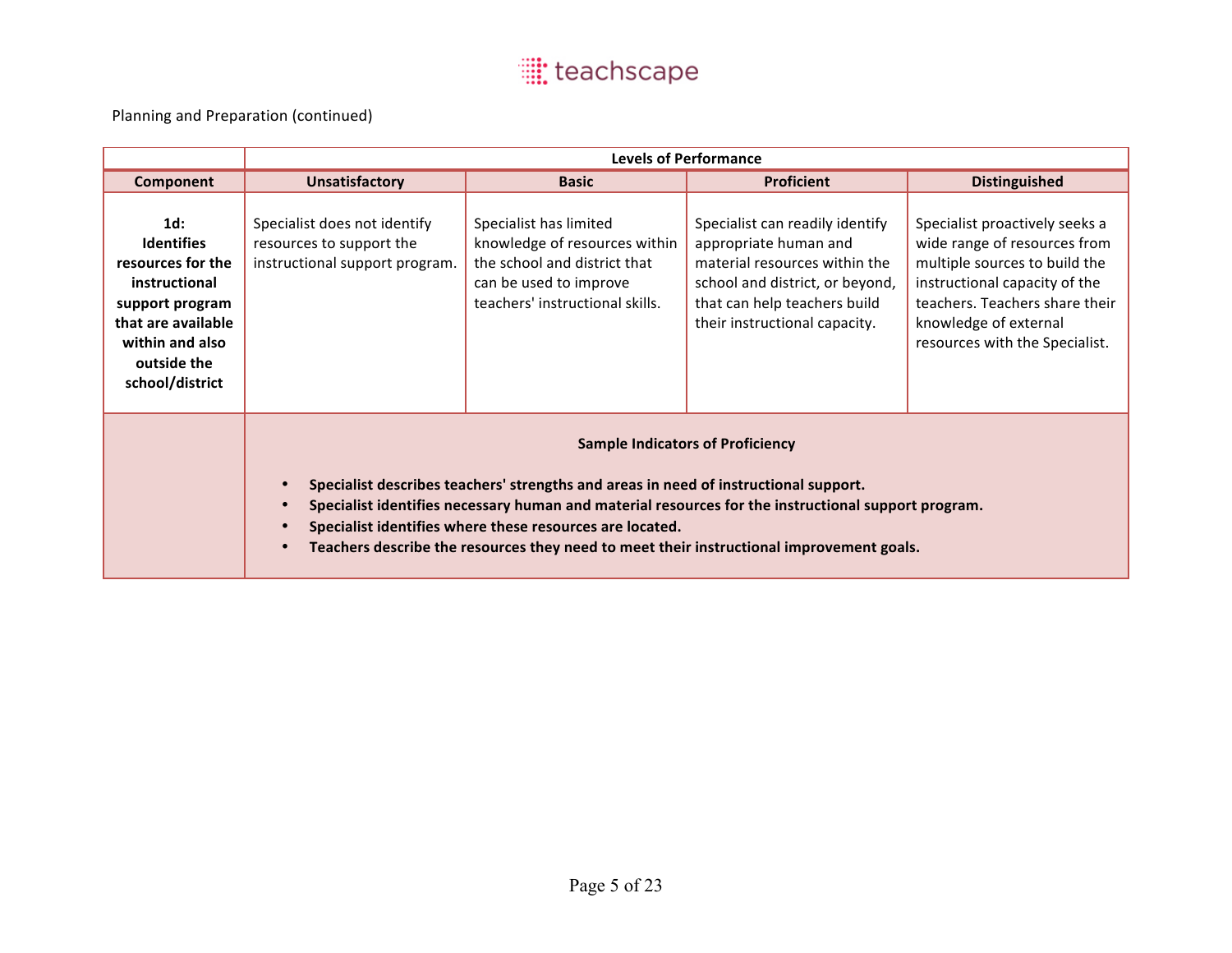|                                                                                                                                                                 | <b>Levels of Performance</b>                                                                                                                                                                                                                                                                                                                                                                                                                       |                                                                                                                                                      |                                                                                                                                                                                               |                                                                                                                                                                                                                               |
|-----------------------------------------------------------------------------------------------------------------------------------------------------------------|----------------------------------------------------------------------------------------------------------------------------------------------------------------------------------------------------------------------------------------------------------------------------------------------------------------------------------------------------------------------------------------------------------------------------------------------------|------------------------------------------------------------------------------------------------------------------------------------------------------|-----------------------------------------------------------------------------------------------------------------------------------------------------------------------------------------------|-------------------------------------------------------------------------------------------------------------------------------------------------------------------------------------------------------------------------------|
| Component                                                                                                                                                       | <b>Unsatisfactory</b>                                                                                                                                                                                                                                                                                                                                                                                                                              | <b>Basic</b>                                                                                                                                         | <b>Proficient</b>                                                                                                                                                                             | <b>Distinguished</b>                                                                                                                                                                                                          |
| $1d$ :<br><b>Identifies</b><br>resources for the<br>instructional<br>support program<br>that are available<br>within and also<br>outside the<br>school/district | Specialist does not identify<br>resources to support the<br>instructional support program.                                                                                                                                                                                                                                                                                                                                                         | Specialist has limited<br>knowledge of resources within<br>the school and district that<br>can be used to improve<br>teachers' instructional skills. | Specialist can readily identify<br>appropriate human and<br>material resources within the<br>school and district, or beyond,<br>that can help teachers build<br>their instructional capacity. | Specialist proactively seeks a<br>wide range of resources from<br>multiple sources to build the<br>instructional capacity of the<br>teachers. Teachers share their<br>knowledge of external<br>resources with the Specialist. |
|                                                                                                                                                                 | <b>Sample Indicators of Proficiency</b><br>Specialist describes teachers' strengths and areas in need of instructional support.<br>$\bullet$<br>Specialist identifies necessary human and material resources for the instructional support program.<br>$\bullet$<br>Specialist identifies where these resources are located.<br>$\bullet$<br>Teachers describe the resources they need to meet their instructional improvement goals.<br>$\bullet$ |                                                                                                                                                      |                                                                                                                                                                                               |                                                                                                                                                                                                                               |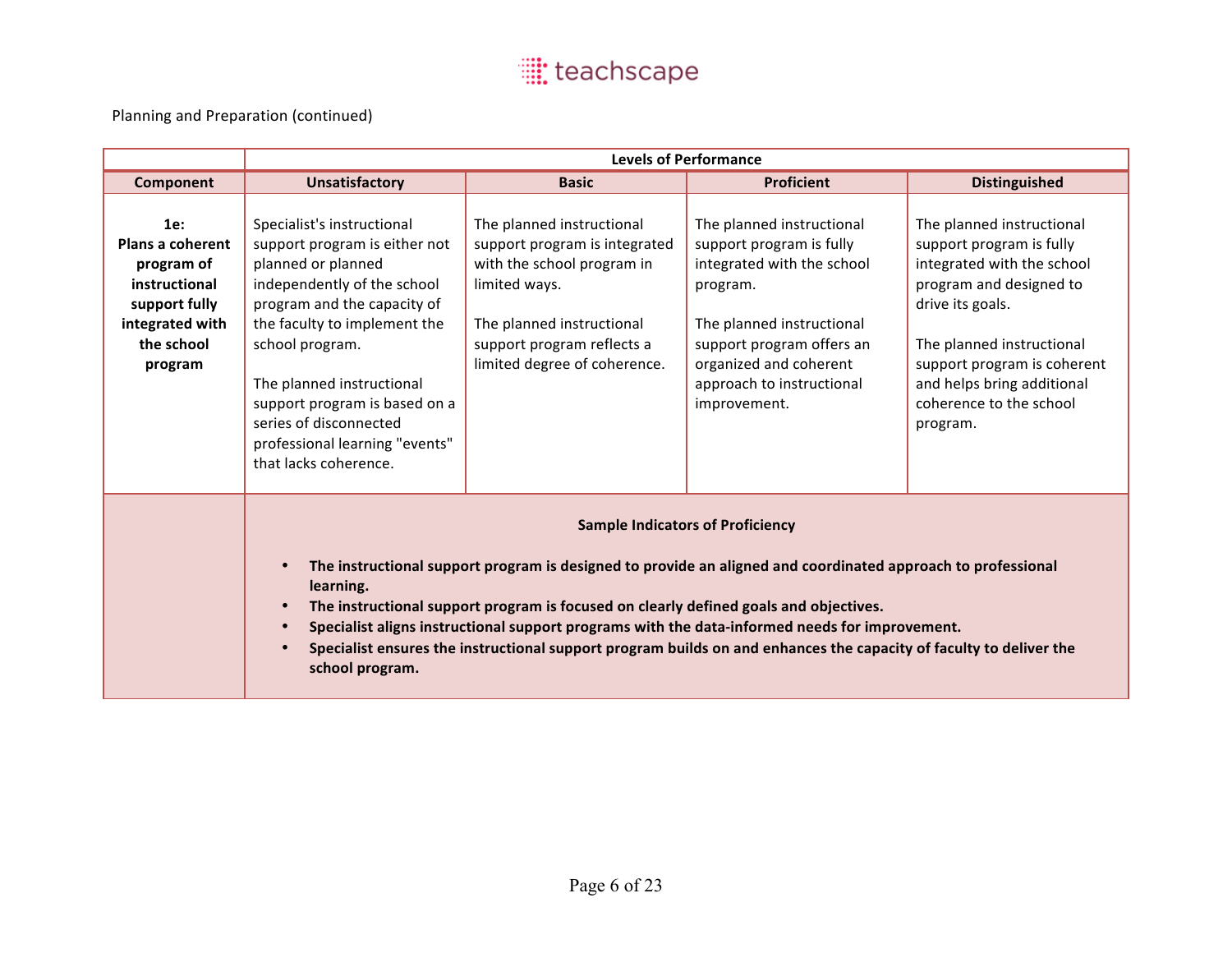|                                                                                                                            | <b>Levels of Performance</b>                                                                                                                                                                                                                                                                                                                                                                                                                                                                             |                                                                                                                                                                                                      |                                                                                                                                                                                                                                  |                                                                                                                                                                                                                                                                     |
|----------------------------------------------------------------------------------------------------------------------------|----------------------------------------------------------------------------------------------------------------------------------------------------------------------------------------------------------------------------------------------------------------------------------------------------------------------------------------------------------------------------------------------------------------------------------------------------------------------------------------------------------|------------------------------------------------------------------------------------------------------------------------------------------------------------------------------------------------------|----------------------------------------------------------------------------------------------------------------------------------------------------------------------------------------------------------------------------------|---------------------------------------------------------------------------------------------------------------------------------------------------------------------------------------------------------------------------------------------------------------------|
| <b>Component</b>                                                                                                           | <b>Unsatisfactory</b>                                                                                                                                                                                                                                                                                                                                                                                                                                                                                    | <b>Basic</b>                                                                                                                                                                                         | <b>Proficient</b>                                                                                                                                                                                                                | <b>Distinguished</b>                                                                                                                                                                                                                                                |
| 1e:<br><b>Plans a coherent</b><br>program of<br>instructional<br>support fully<br>integrated with<br>the school<br>program | Specialist's instructional<br>support program is either not<br>planned or planned<br>independently of the school<br>program and the capacity of<br>the faculty to implement the<br>school program.<br>The planned instructional<br>support program is based on a<br>series of disconnected<br>professional learning "events"<br>that lacks coherence.                                                                                                                                                    | The planned instructional<br>support program is integrated<br>with the school program in<br>limited ways.<br>The planned instructional<br>support program reflects a<br>limited degree of coherence. | The planned instructional<br>support program is fully<br>integrated with the school<br>program.<br>The planned instructional<br>support program offers an<br>organized and coherent<br>approach to instructional<br>improvement. | The planned instructional<br>support program is fully<br>integrated with the school<br>program and designed to<br>drive its goals.<br>The planned instructional<br>support program is coherent<br>and helps bring additional<br>coherence to the school<br>program. |
|                                                                                                                            | <b>Sample Indicators of Proficiency</b><br>The instructional support program is designed to provide an aligned and coordinated approach to professional<br>learning.<br>The instructional support program is focused on clearly defined goals and objectives.<br>Specialist aligns instructional support programs with the data-informed needs for improvement.<br>Specialist ensures the instructional support program builds on and enhances the capacity of faculty to deliver the<br>school program. |                                                                                                                                                                                                      |                                                                                                                                                                                                                                  |                                                                                                                                                                                                                                                                     |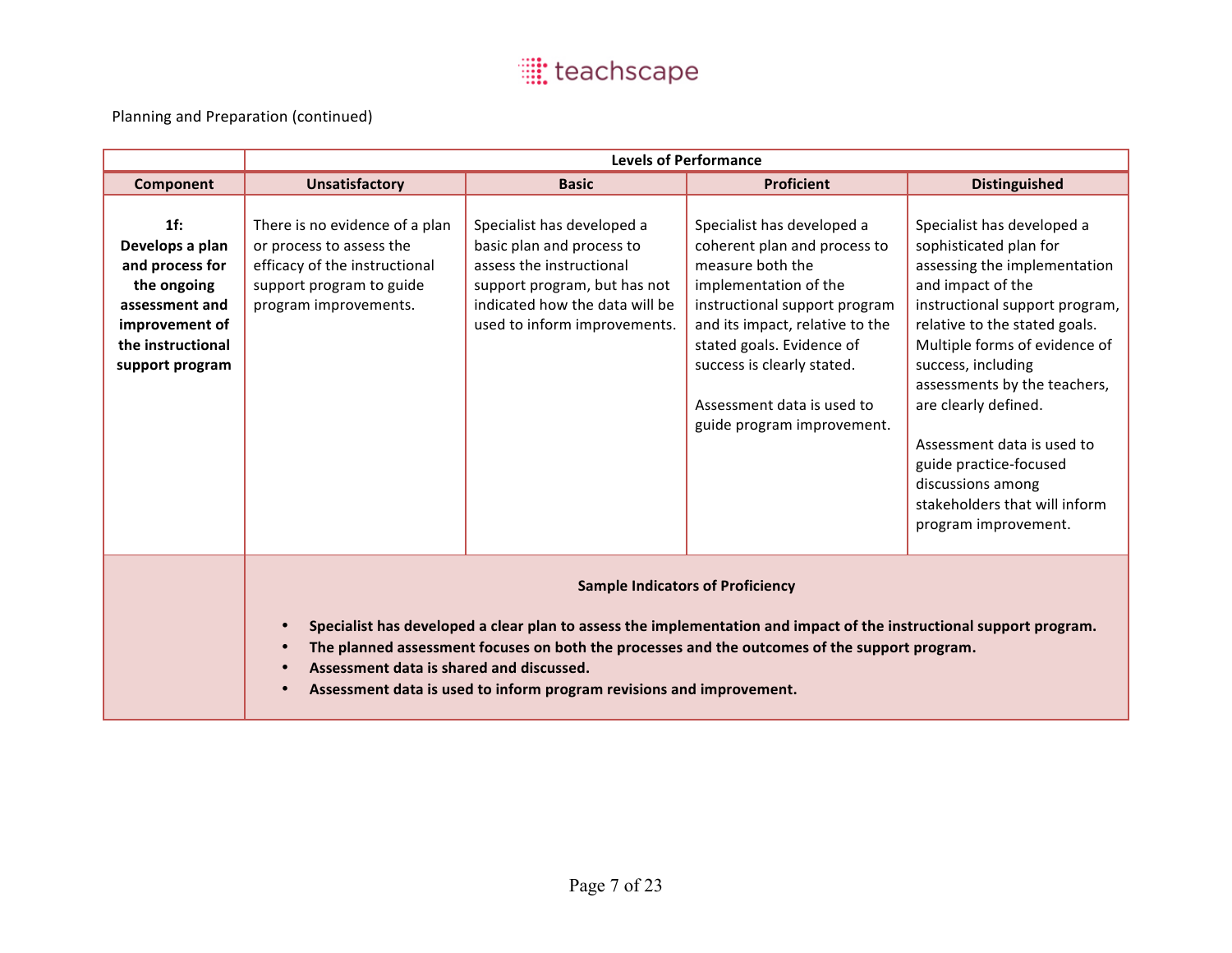|                                                                                                                                      | <b>Levels of Performance</b>                                                                                                                                                                                                                                                                                                                                                                                               |                                                                                                                                                                                       |                                                                                                                                                                                                                                                                                                    |                                                                                                                                                                                                                                                                                                                                                                                                                                   |
|--------------------------------------------------------------------------------------------------------------------------------------|----------------------------------------------------------------------------------------------------------------------------------------------------------------------------------------------------------------------------------------------------------------------------------------------------------------------------------------------------------------------------------------------------------------------------|---------------------------------------------------------------------------------------------------------------------------------------------------------------------------------------|----------------------------------------------------------------------------------------------------------------------------------------------------------------------------------------------------------------------------------------------------------------------------------------------------|-----------------------------------------------------------------------------------------------------------------------------------------------------------------------------------------------------------------------------------------------------------------------------------------------------------------------------------------------------------------------------------------------------------------------------------|
| Component                                                                                                                            | <b>Unsatisfactory</b>                                                                                                                                                                                                                                                                                                                                                                                                      | <b>Basic</b>                                                                                                                                                                          | <b>Proficient</b>                                                                                                                                                                                                                                                                                  | <b>Distinguished</b>                                                                                                                                                                                                                                                                                                                                                                                                              |
| 1f:<br>Develops a plan<br>and process for<br>the ongoing<br>assessment and<br>improvement of<br>the instructional<br>support program | There is no evidence of a plan<br>or process to assess the<br>efficacy of the instructional<br>support program to guide<br>program improvements.                                                                                                                                                                                                                                                                           | Specialist has developed a<br>basic plan and process to<br>assess the instructional<br>support program, but has not<br>indicated how the data will be<br>used to inform improvements. | Specialist has developed a<br>coherent plan and process to<br>measure both the<br>implementation of the<br>instructional support program<br>and its impact, relative to the<br>stated goals. Evidence of<br>success is clearly stated.<br>Assessment data is used to<br>guide program improvement. | Specialist has developed a<br>sophisticated plan for<br>assessing the implementation<br>and impact of the<br>instructional support program,<br>relative to the stated goals.<br>Multiple forms of evidence of<br>success, including<br>assessments by the teachers,<br>are clearly defined.<br>Assessment data is used to<br>guide practice-focused<br>discussions among<br>stakeholders that will inform<br>program improvement. |
|                                                                                                                                      | <b>Sample Indicators of Proficiency</b><br>Specialist has developed a clear plan to assess the implementation and impact of the instructional support program.<br>$\bullet$<br>The planned assessment focuses on both the processes and the outcomes of the support program.<br>$\bullet$<br>Assessment data is shared and discussed.<br>$\bullet$<br>Assessment data is used to inform program revisions and improvement. |                                                                                                                                                                                       |                                                                                                                                                                                                                                                                                                    |                                                                                                                                                                                                                                                                                                                                                                                                                                   |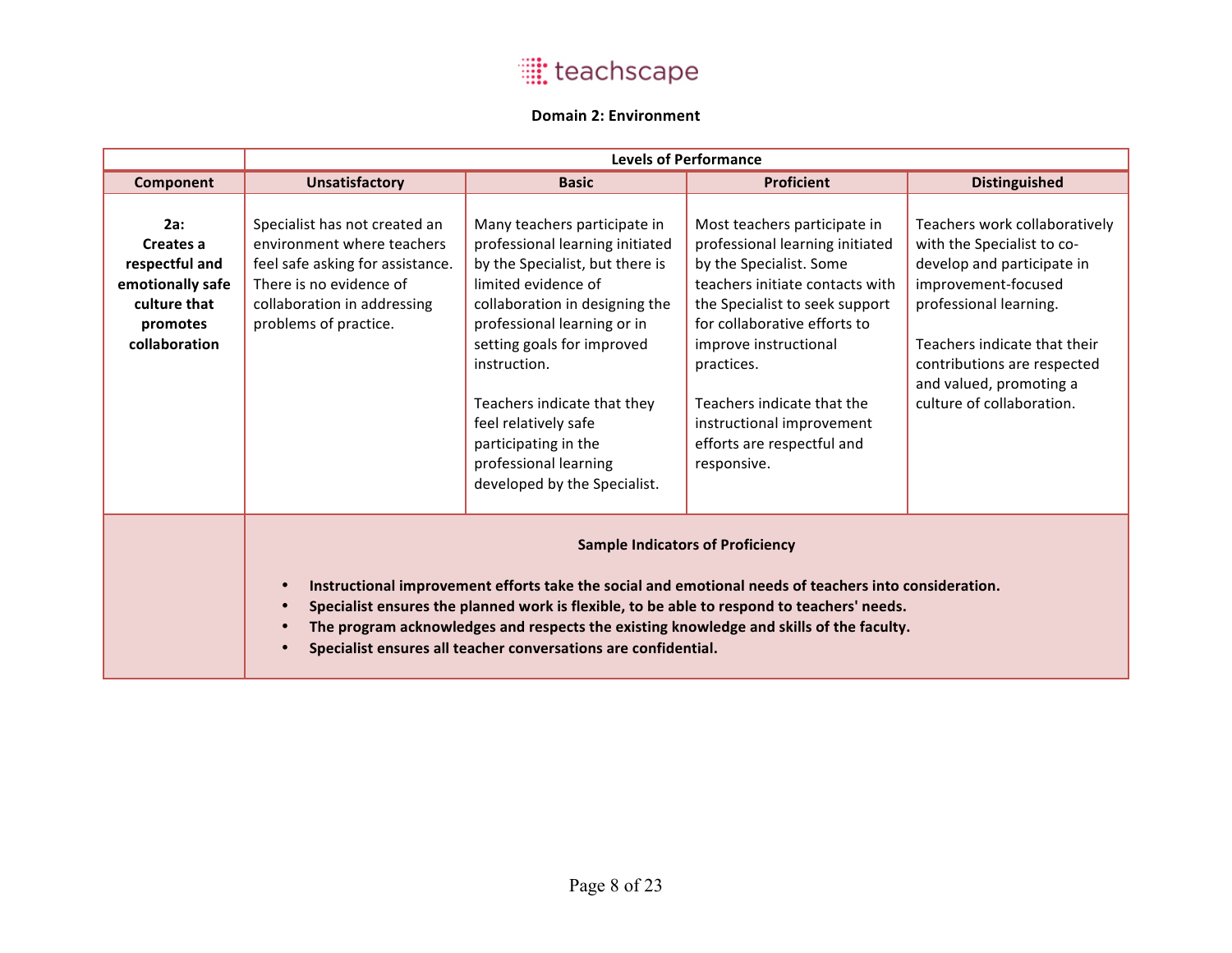#### **Domain 2: Environment**

|                                                                                                     | <b>Levels of Performance</b>                                                                                                                                                                                                                                                                                                                                                                                                          |                                                                                                                                                                                                                                                                                                                                                                                  |                                                                                                                                                                                                                                                                                                                                                |                                                                                                                                                                                                                                                                   |  |
|-----------------------------------------------------------------------------------------------------|---------------------------------------------------------------------------------------------------------------------------------------------------------------------------------------------------------------------------------------------------------------------------------------------------------------------------------------------------------------------------------------------------------------------------------------|----------------------------------------------------------------------------------------------------------------------------------------------------------------------------------------------------------------------------------------------------------------------------------------------------------------------------------------------------------------------------------|------------------------------------------------------------------------------------------------------------------------------------------------------------------------------------------------------------------------------------------------------------------------------------------------------------------------------------------------|-------------------------------------------------------------------------------------------------------------------------------------------------------------------------------------------------------------------------------------------------------------------|--|
| Component                                                                                           | <b>Unsatisfactory</b>                                                                                                                                                                                                                                                                                                                                                                                                                 | <b>Basic</b>                                                                                                                                                                                                                                                                                                                                                                     | <b>Proficient</b>                                                                                                                                                                                                                                                                                                                              | <b>Distinguished</b>                                                                                                                                                                                                                                              |  |
| 2a:<br>Creates a<br>respectful and<br>emotionally safe<br>culture that<br>promotes<br>collaboration | Specialist has not created an<br>environment where teachers<br>feel safe asking for assistance.<br>There is no evidence of<br>collaboration in addressing<br>problems of practice.                                                                                                                                                                                                                                                    | Many teachers participate in<br>professional learning initiated<br>by the Specialist, but there is<br>limited evidence of<br>collaboration in designing the<br>professional learning or in<br>setting goals for improved<br>instruction.<br>Teachers indicate that they<br>feel relatively safe<br>participating in the<br>professional learning<br>developed by the Specialist. | Most teachers participate in<br>professional learning initiated<br>by the Specialist. Some<br>teachers initiate contacts with<br>the Specialist to seek support<br>for collaborative efforts to<br>improve instructional<br>practices.<br>Teachers indicate that the<br>instructional improvement<br>efforts are respectful and<br>responsive. | Teachers work collaboratively<br>with the Specialist to co-<br>develop and participate in<br>improvement-focused<br>professional learning.<br>Teachers indicate that their<br>contributions are respected<br>and valued, promoting a<br>culture of collaboration. |  |
|                                                                                                     | <b>Sample Indicators of Proficiency</b><br>Instructional improvement efforts take the social and emotional needs of teachers into consideration.<br>$\bullet$<br>Specialist ensures the planned work is flexible, to be able to respond to teachers' needs.<br>$\bullet$<br>The program acknowledges and respects the existing knowledge and skills of the faculty.<br>Specialist ensures all teacher conversations are confidential. |                                                                                                                                                                                                                                                                                                                                                                                  |                                                                                                                                                                                                                                                                                                                                                |                                                                                                                                                                                                                                                                   |  |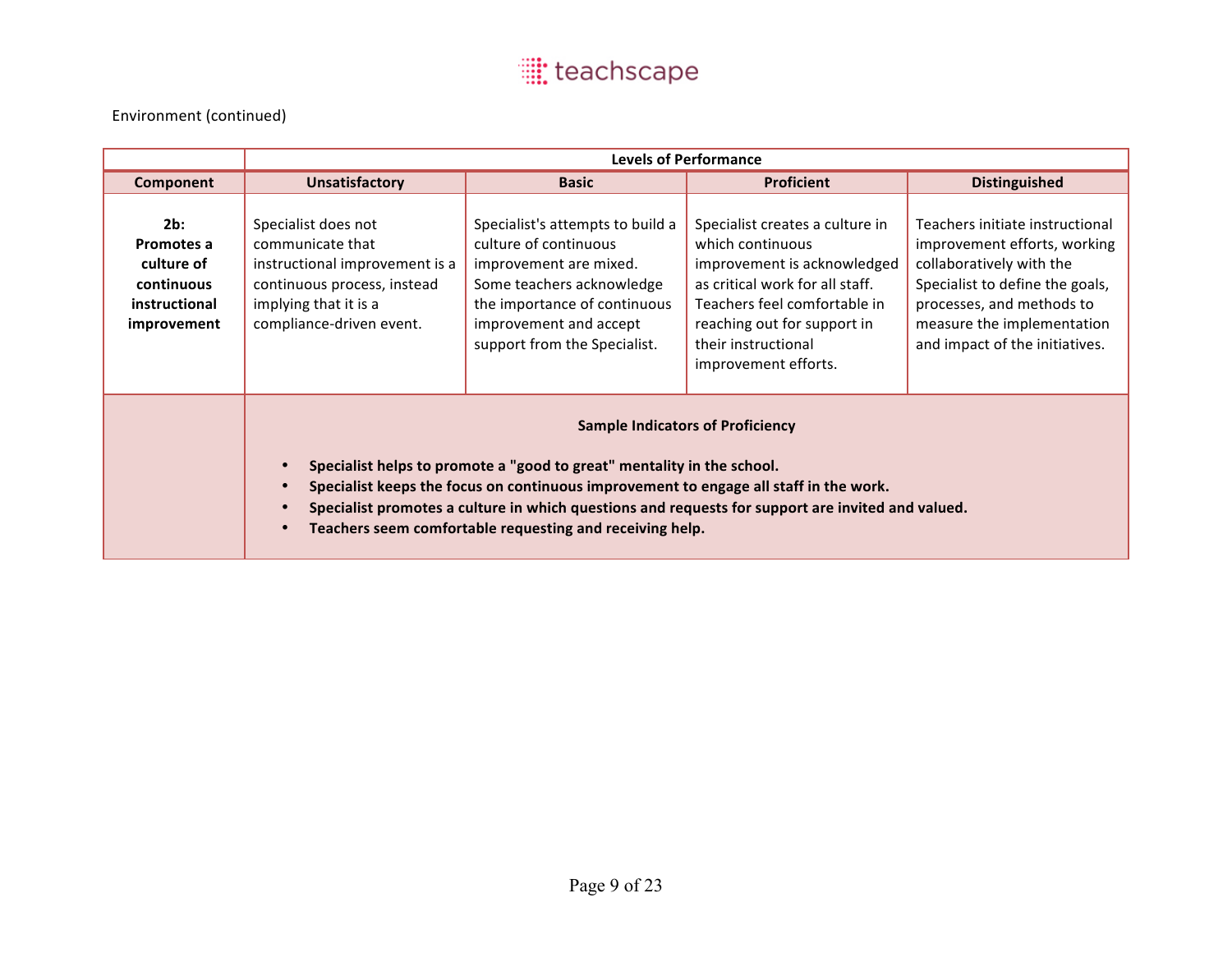|                                                                               |                                                                                                                                                                                                                                                                                                                                                                             | <b>Levels of Performance</b>                                                                                                                                                                               |                                                                                                                                                                                                                                     |                                                                                                                                                                                                                             |  |
|-------------------------------------------------------------------------------|-----------------------------------------------------------------------------------------------------------------------------------------------------------------------------------------------------------------------------------------------------------------------------------------------------------------------------------------------------------------------------|------------------------------------------------------------------------------------------------------------------------------------------------------------------------------------------------------------|-------------------------------------------------------------------------------------------------------------------------------------------------------------------------------------------------------------------------------------|-----------------------------------------------------------------------------------------------------------------------------------------------------------------------------------------------------------------------------|--|
| Component                                                                     | <b>Unsatisfactory</b>                                                                                                                                                                                                                                                                                                                                                       | <b>Basic</b>                                                                                                                                                                                               | <b>Proficient</b>                                                                                                                                                                                                                   | <b>Distinguished</b>                                                                                                                                                                                                        |  |
| 2b:<br>Promotes a<br>culture of<br>continuous<br>instructional<br>improvement | Specialist does not<br>communicate that<br>instructional improvement is a<br>continuous process, instead<br>implying that it is a<br>compliance-driven event.                                                                                                                                                                                                               | Specialist's attempts to build a<br>culture of continuous<br>improvement are mixed.<br>Some teachers acknowledge<br>the importance of continuous<br>improvement and accept<br>support from the Specialist. | Specialist creates a culture in<br>which continuous<br>improvement is acknowledged<br>as critical work for all staff.<br>Teachers feel comfortable in<br>reaching out for support in<br>their instructional<br>improvement efforts. | Teachers initiate instructional<br>improvement efforts, working<br>collaboratively with the<br>Specialist to define the goals,<br>processes, and methods to<br>measure the implementation<br>and impact of the initiatives. |  |
|                                                                               | <b>Sample Indicators of Proficiency</b><br>Specialist helps to promote a "good to great" mentality in the school.<br>Specialist keeps the focus on continuous improvement to engage all staff in the work.<br>Specialist promotes a culture in which questions and requests for support are invited and valued.<br>Teachers seem comfortable requesting and receiving help. |                                                                                                                                                                                                            |                                                                                                                                                                                                                                     |                                                                                                                                                                                                                             |  |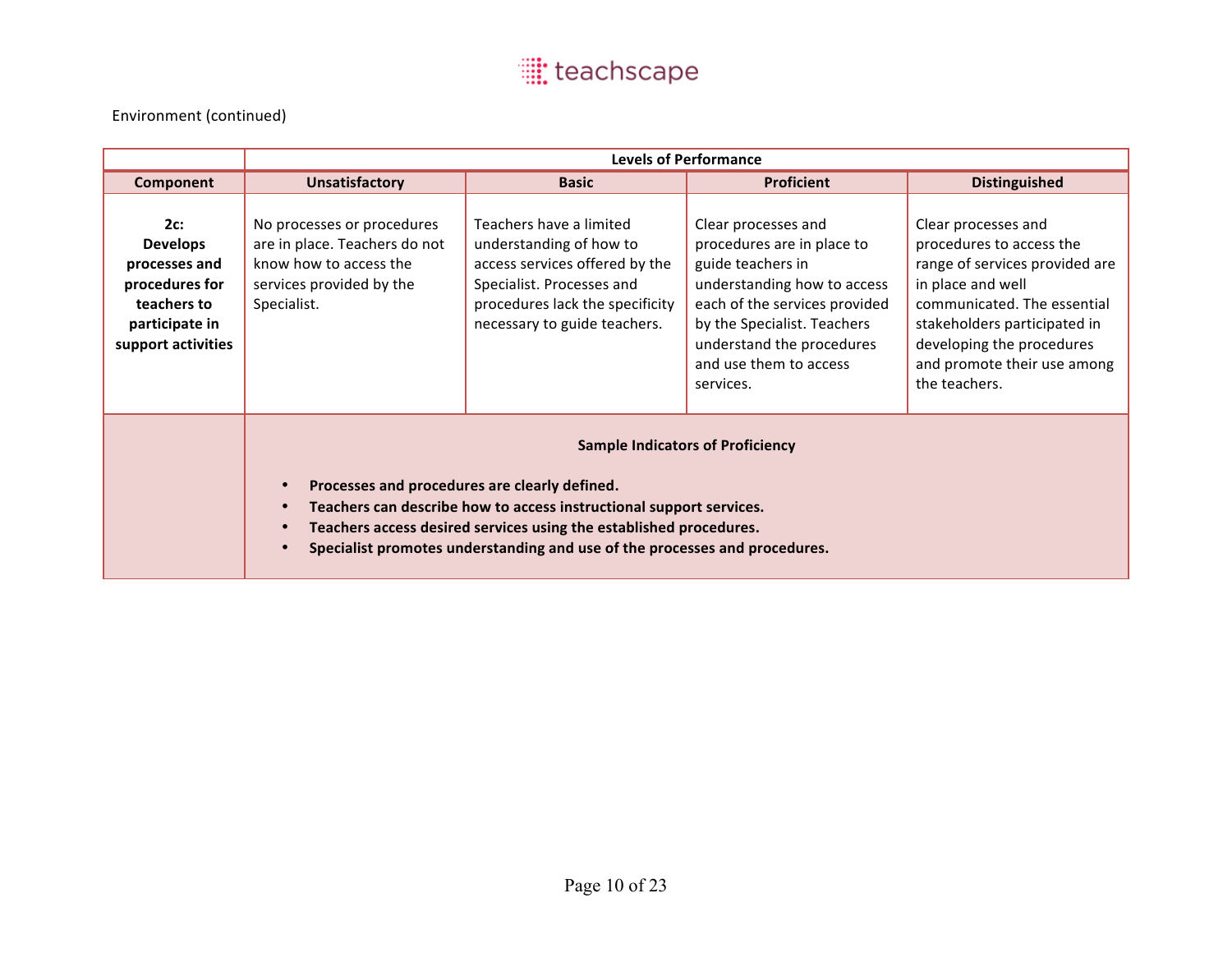|                                                                                                                  |                                                                                                                                                                                                                                                                                                                                                            |                                                                                                                                                                                      | <b>Levels of Performance</b>                                                                                                                                                                                                              |                                                                                                                                                                                                                                                    |
|------------------------------------------------------------------------------------------------------------------|------------------------------------------------------------------------------------------------------------------------------------------------------------------------------------------------------------------------------------------------------------------------------------------------------------------------------------------------------------|--------------------------------------------------------------------------------------------------------------------------------------------------------------------------------------|-------------------------------------------------------------------------------------------------------------------------------------------------------------------------------------------------------------------------------------------|----------------------------------------------------------------------------------------------------------------------------------------------------------------------------------------------------------------------------------------------------|
| Component                                                                                                        | <b>Unsatisfactory</b>                                                                                                                                                                                                                                                                                                                                      | <b>Basic</b>                                                                                                                                                                         | <b>Proficient</b>                                                                                                                                                                                                                         | <b>Distinguished</b>                                                                                                                                                                                                                               |
| 2c:<br><b>Develops</b><br>processes and<br>procedures for<br>teachers to<br>participate in<br>support activities | No processes or procedures<br>are in place. Teachers do not<br>know how to access the<br>services provided by the<br>Specialist.                                                                                                                                                                                                                           | Teachers have a limited<br>understanding of how to<br>access services offered by the<br>Specialist. Processes and<br>procedures lack the specificity<br>necessary to guide teachers. | Clear processes and<br>procedures are in place to<br>guide teachers in<br>understanding how to access<br>each of the services provided<br>by the Specialist. Teachers<br>understand the procedures<br>and use them to access<br>services. | Clear processes and<br>procedures to access the<br>range of services provided are<br>in place and well<br>communicated. The essential<br>stakeholders participated in<br>developing the procedures<br>and promote their use among<br>the teachers. |
|                                                                                                                  | <b>Sample Indicators of Proficiency</b><br>Processes and procedures are clearly defined.<br>Teachers can describe how to access instructional support services.<br>$\bullet$<br>Teachers access desired services using the established procedures.<br>$\bullet$<br>Specialist promotes understanding and use of the processes and procedures.<br>$\bullet$ |                                                                                                                                                                                      |                                                                                                                                                                                                                                           |                                                                                                                                                                                                                                                    |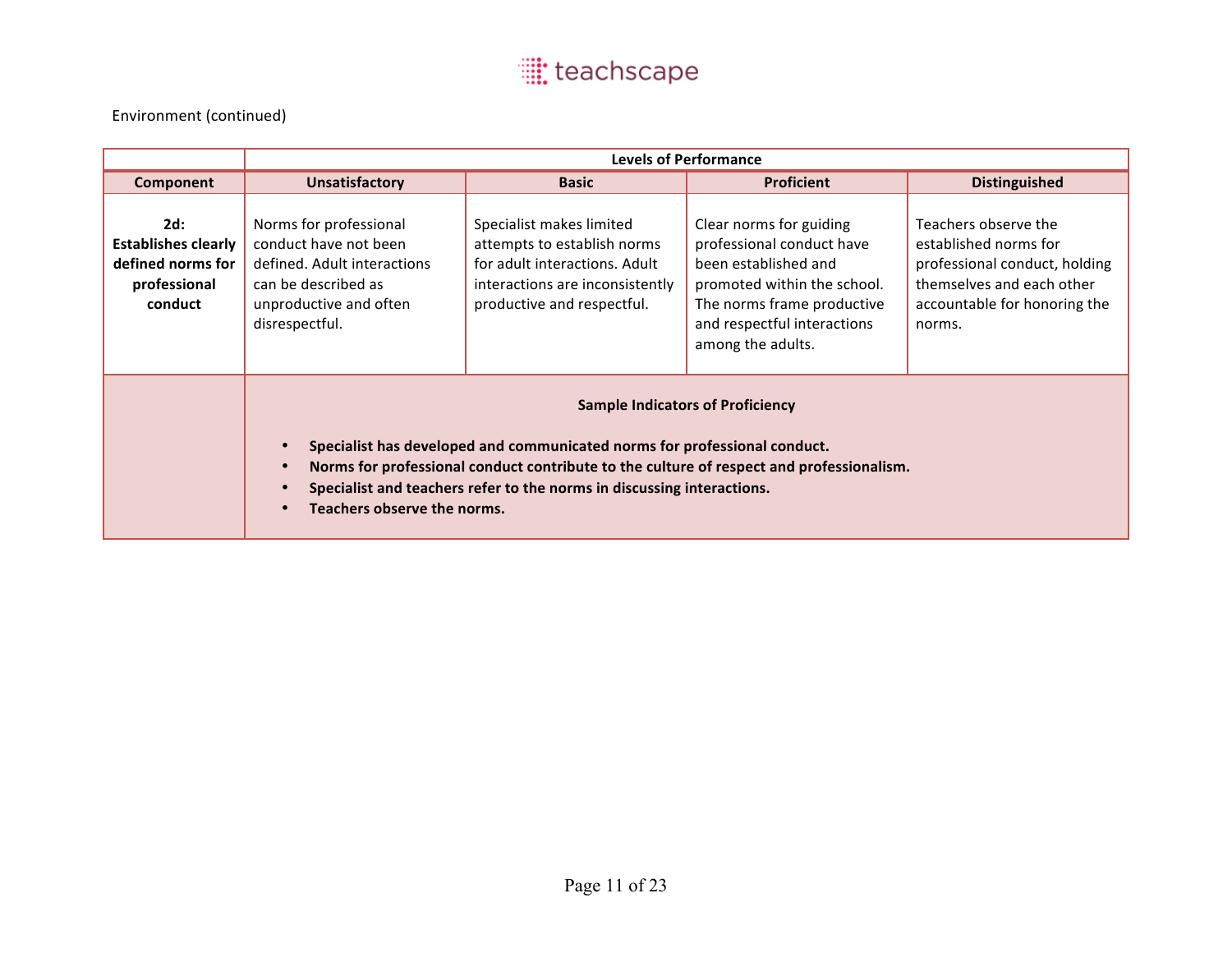|                                                                                   |                                                                                                                                                                                                                                                                                                                                        |                                                                                                                                                           | <b>Levels of Performance</b>                                                                                                                                                                  |                                                                                                                                                       |
|-----------------------------------------------------------------------------------|----------------------------------------------------------------------------------------------------------------------------------------------------------------------------------------------------------------------------------------------------------------------------------------------------------------------------------------|-----------------------------------------------------------------------------------------------------------------------------------------------------------|-----------------------------------------------------------------------------------------------------------------------------------------------------------------------------------------------|-------------------------------------------------------------------------------------------------------------------------------------------------------|
| Component                                                                         | <b>Unsatisfactory</b>                                                                                                                                                                                                                                                                                                                  | <b>Basic</b>                                                                                                                                              | <b>Proficient</b>                                                                                                                                                                             | <b>Distinguished</b>                                                                                                                                  |
| 2d:<br><b>Establishes clearly</b><br>defined norms for<br>professional<br>conduct | Norms for professional<br>conduct have not been<br>defined. Adult interactions<br>can be described as<br>unproductive and often<br>disrespectful.                                                                                                                                                                                      | Specialist makes limited<br>attempts to establish norms<br>for adult interactions. Adult<br>interactions are inconsistently<br>productive and respectful. | Clear norms for guiding<br>professional conduct have<br>been established and<br>promoted within the school.<br>The norms frame productive<br>and respectful interactions<br>among the adults. | Teachers observe the<br>established norms for<br>professional conduct, holding<br>themselves and each other<br>accountable for honoring the<br>norms. |
|                                                                                   | <b>Sample Indicators of Proficiency</b><br>Specialist has developed and communicated norms for professional conduct.<br>Norms for professional conduct contribute to the culture of respect and professionalism.<br>$\bullet$<br>Specialist and teachers refer to the norms in discussing interactions.<br>Teachers observe the norms. |                                                                                                                                                           |                                                                                                                                                                                               |                                                                                                                                                       |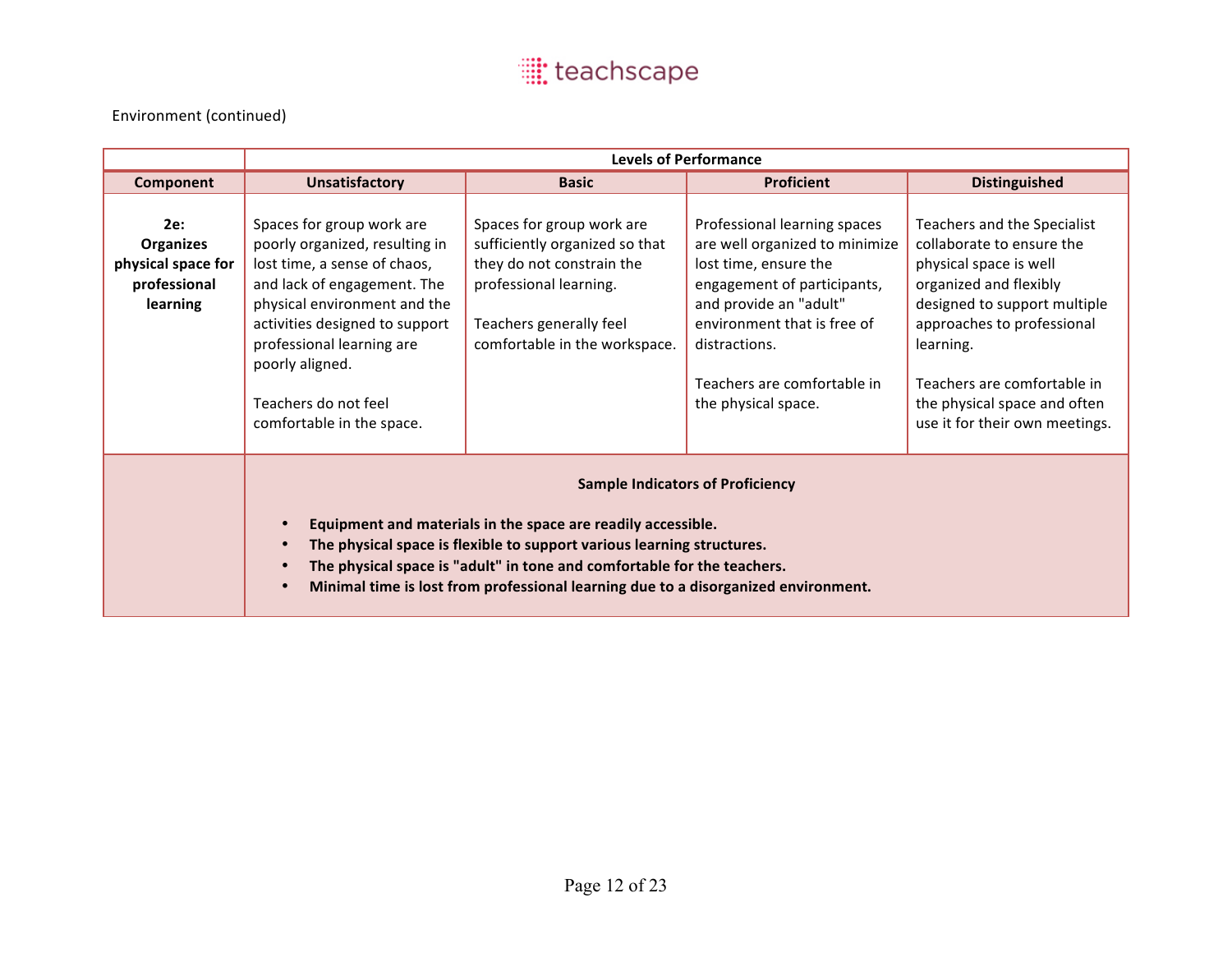|                                                                    | <b>Levels of Performance</b>                                                                                                                                                                                                                                                                                                                                    |                                                                                                                                                                                |                                                                                                                                                                                                                                                        |                                                                                                                                                                                                                                                                                          |
|--------------------------------------------------------------------|-----------------------------------------------------------------------------------------------------------------------------------------------------------------------------------------------------------------------------------------------------------------------------------------------------------------------------------------------------------------|--------------------------------------------------------------------------------------------------------------------------------------------------------------------------------|--------------------------------------------------------------------------------------------------------------------------------------------------------------------------------------------------------------------------------------------------------|------------------------------------------------------------------------------------------------------------------------------------------------------------------------------------------------------------------------------------------------------------------------------------------|
| Component                                                          | <b>Unsatisfactory</b>                                                                                                                                                                                                                                                                                                                                           | <b>Basic</b>                                                                                                                                                                   | <b>Proficient</b>                                                                                                                                                                                                                                      | <b>Distinguished</b>                                                                                                                                                                                                                                                                     |
| 2e:<br>Organizes<br>physical space for<br>professional<br>learning | Spaces for group work are<br>poorly organized, resulting in<br>lost time, a sense of chaos,<br>and lack of engagement. The<br>physical environment and the<br>activities designed to support<br>professional learning are<br>poorly aligned.<br>Teachers do not feel<br>comfortable in the space.                                                               | Spaces for group work are<br>sufficiently organized so that<br>they do not constrain the<br>professional learning.<br>Teachers generally feel<br>comfortable in the workspace. | Professional learning spaces<br>are well organized to minimize<br>lost time, ensure the<br>engagement of participants,<br>and provide an "adult"<br>environment that is free of<br>distractions.<br>Teachers are comfortable in<br>the physical space. | Teachers and the Specialist<br>collaborate to ensure the<br>physical space is well<br>organized and flexibly<br>designed to support multiple<br>approaches to professional<br>learning.<br>Teachers are comfortable in<br>the physical space and often<br>use it for their own meetings. |
|                                                                    | <b>Sample Indicators of Proficiency</b><br>Equipment and materials in the space are readily accessible.<br>The physical space is flexible to support various learning structures.<br>$\bullet$<br>The physical space is "adult" in tone and comfortable for the teachers.<br>Minimal time is lost from professional learning due to a disorganized environment. |                                                                                                                                                                                |                                                                                                                                                                                                                                                        |                                                                                                                                                                                                                                                                                          |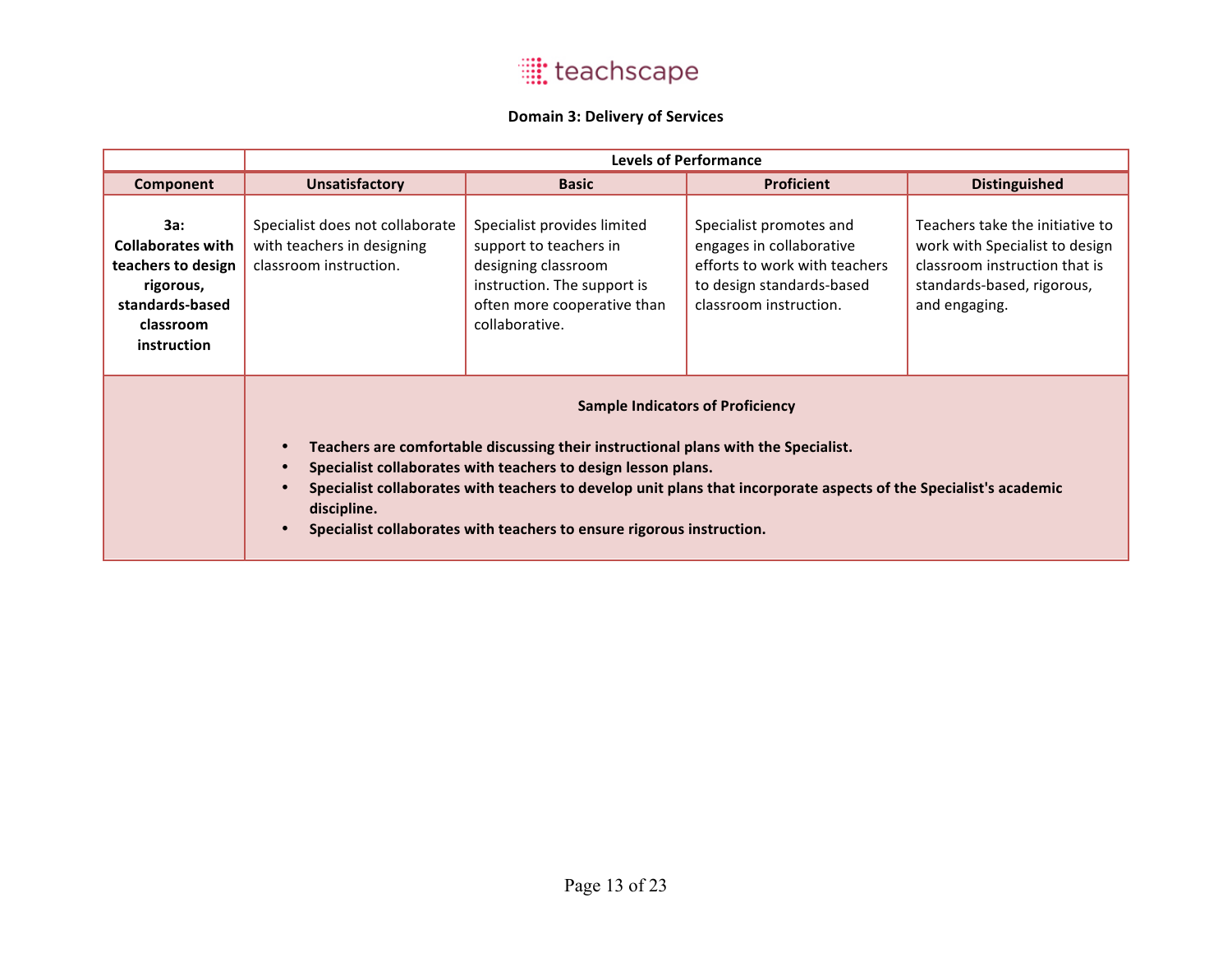#### **Domain 3: Delivery of Services**

|                                                                                                                   | <b>Levels of Performance</b>                                                                                                                                                                                                                                                                                                                                                                                                                       |                                                                                                                                                              |                                                                                                                                             |                                                                                                                                                   |
|-------------------------------------------------------------------------------------------------------------------|----------------------------------------------------------------------------------------------------------------------------------------------------------------------------------------------------------------------------------------------------------------------------------------------------------------------------------------------------------------------------------------------------------------------------------------------------|--------------------------------------------------------------------------------------------------------------------------------------------------------------|---------------------------------------------------------------------------------------------------------------------------------------------|---------------------------------------------------------------------------------------------------------------------------------------------------|
| Component                                                                                                         | <b>Unsatisfactory</b>                                                                                                                                                                                                                                                                                                                                                                                                                              | <b>Basic</b>                                                                                                                                                 | <b>Proficient</b>                                                                                                                           | <b>Distinguished</b>                                                                                                                              |
| 3a:<br><b>Collaborates with</b><br>teachers to design<br>rigorous,<br>standards-based<br>classroom<br>instruction | Specialist does not collaborate<br>with teachers in designing<br>classroom instruction.                                                                                                                                                                                                                                                                                                                                                            | Specialist provides limited<br>support to teachers in<br>designing classroom<br>instruction. The support is<br>often more cooperative than<br>collaborative. | Specialist promotes and<br>engages in collaborative<br>efforts to work with teachers<br>to design standards-based<br>classroom instruction. | Teachers take the initiative to<br>work with Specialist to design<br>classroom instruction that is<br>standards-based, rigorous,<br>and engaging. |
|                                                                                                                   | <b>Sample Indicators of Proficiency</b><br>Teachers are comfortable discussing their instructional plans with the Specialist.<br>$\bullet$<br>Specialist collaborates with teachers to design lesson plans.<br>$\bullet$<br>Specialist collaborates with teachers to develop unit plans that incorporate aspects of the Specialist's academic<br>$\bullet$<br>discipline.<br>Specialist collaborates with teachers to ensure rigorous instruction. |                                                                                                                                                              |                                                                                                                                             |                                                                                                                                                   |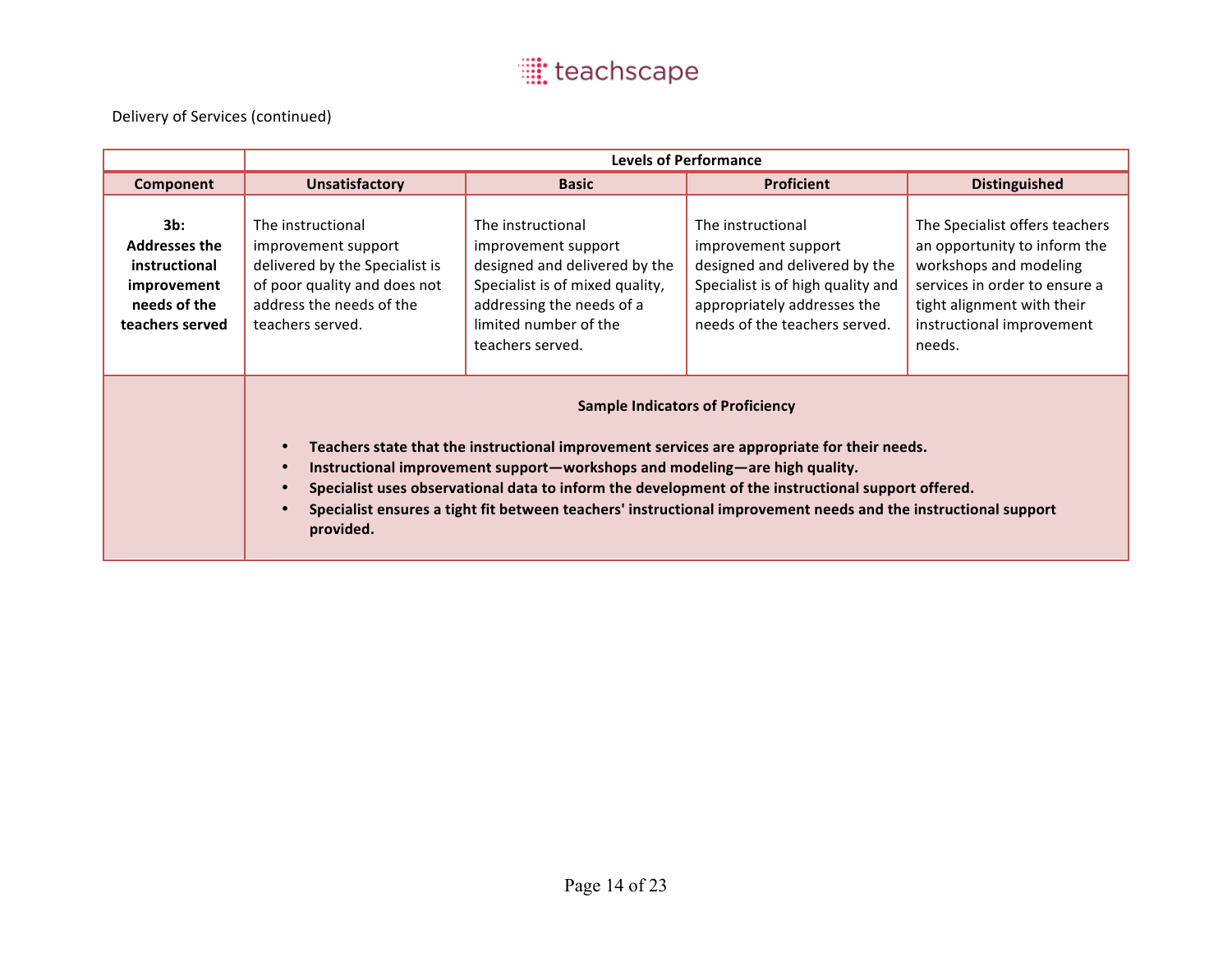|                                                                                                   | <b>Levels of Performance</b>                                                                                                                                                                                                                                                                                                                                                                                                                                           |                                                                                                                                                                                        |                                                                                                                                                                                |                                                                                                                                                                                                |  |
|---------------------------------------------------------------------------------------------------|------------------------------------------------------------------------------------------------------------------------------------------------------------------------------------------------------------------------------------------------------------------------------------------------------------------------------------------------------------------------------------------------------------------------------------------------------------------------|----------------------------------------------------------------------------------------------------------------------------------------------------------------------------------------|--------------------------------------------------------------------------------------------------------------------------------------------------------------------------------|------------------------------------------------------------------------------------------------------------------------------------------------------------------------------------------------|--|
| Component                                                                                         | <b>Unsatisfactory</b>                                                                                                                                                                                                                                                                                                                                                                                                                                                  | <b>Basic</b>                                                                                                                                                                           | <b>Proficient</b>                                                                                                                                                              | <b>Distinguished</b>                                                                                                                                                                           |  |
| $3b$ :<br><b>Addresses the</b><br>instructional<br>improvement<br>needs of the<br>teachers served | The instructional<br>improvement support<br>delivered by the Specialist is<br>of poor quality and does not<br>address the needs of the<br>teachers served.                                                                                                                                                                                                                                                                                                             | The instructional<br>improvement support<br>designed and delivered by the<br>Specialist is of mixed quality,<br>addressing the needs of a<br>limited number of the<br>teachers served. | The instructional<br>improvement support<br>designed and delivered by the<br>Specialist is of high quality and<br>appropriately addresses the<br>needs of the teachers served. | The Specialist offers teachers<br>an opportunity to inform the<br>workshops and modeling<br>services in order to ensure a<br>tight alignment with their<br>instructional improvement<br>needs. |  |
|                                                                                                   | <b>Sample Indicators of Proficiency</b><br>Teachers state that the instructional improvement services are appropriate for their needs.<br>Instructional improvement support-workshops and modeling-are high quality.<br>$\bullet$<br>Specialist uses observational data to inform the development of the instructional support offered.<br>Specialist ensures a tight fit between teachers' instructional improvement needs and the instructional support<br>provided. |                                                                                                                                                                                        |                                                                                                                                                                                |                                                                                                                                                                                                |  |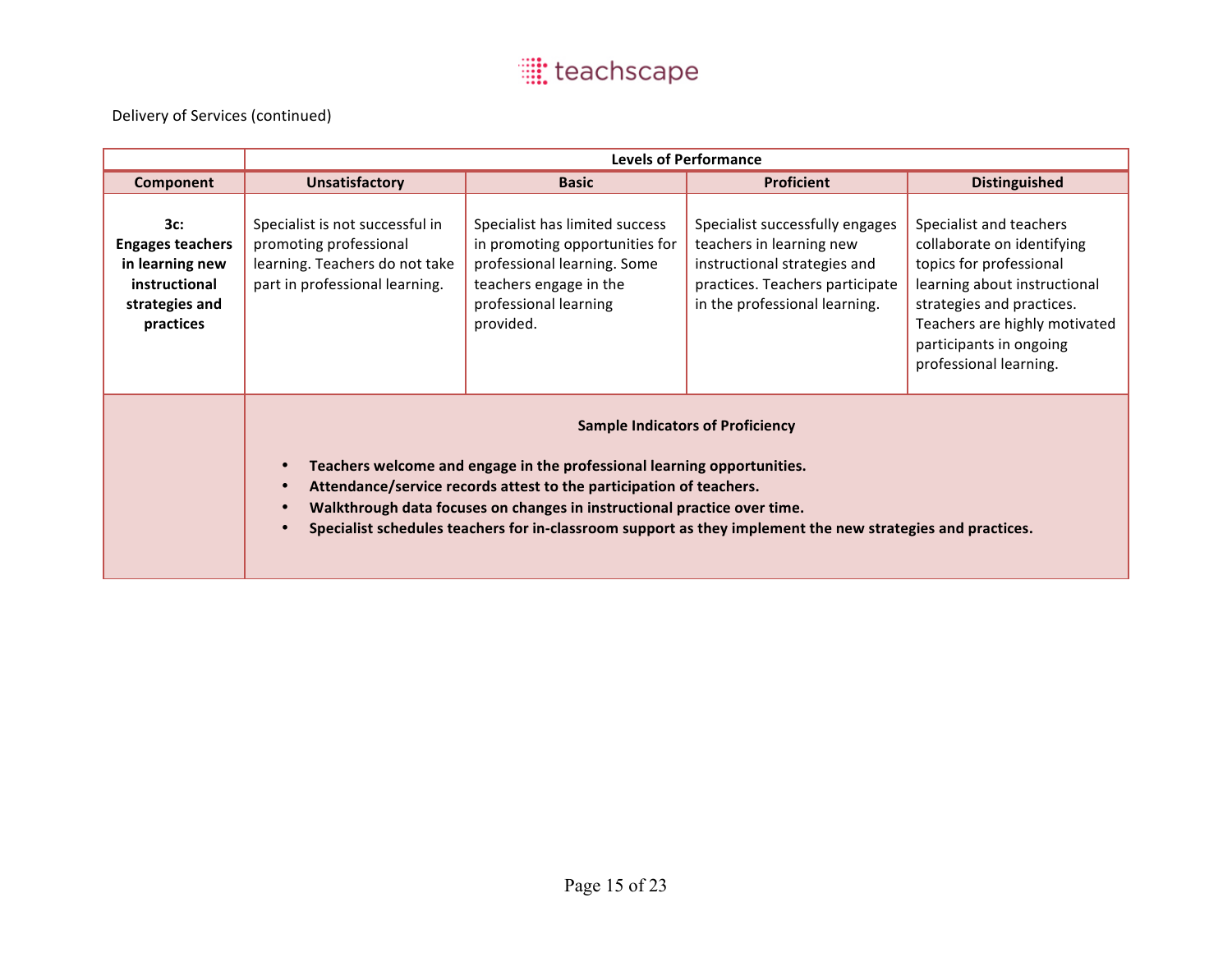|                                                                                                   | <b>Levels of Performance</b>                                                                                                                                                                                                                                                                                                                                                                                  |                                                                                                                                                                 |                                                                                                                                                                 |                                                                                                                                                                                                                                     |  |
|---------------------------------------------------------------------------------------------------|---------------------------------------------------------------------------------------------------------------------------------------------------------------------------------------------------------------------------------------------------------------------------------------------------------------------------------------------------------------------------------------------------------------|-----------------------------------------------------------------------------------------------------------------------------------------------------------------|-----------------------------------------------------------------------------------------------------------------------------------------------------------------|-------------------------------------------------------------------------------------------------------------------------------------------------------------------------------------------------------------------------------------|--|
| Component                                                                                         | <b>Unsatisfactory</b>                                                                                                                                                                                                                                                                                                                                                                                         | <b>Basic</b>                                                                                                                                                    | <b>Proficient</b>                                                                                                                                               | <b>Distinguished</b>                                                                                                                                                                                                                |  |
| 3c:<br><b>Engages teachers</b><br>in learning new<br>instructional<br>strategies and<br>practices | Specialist is not successful in<br>promoting professional<br>learning. Teachers do not take<br>part in professional learning.                                                                                                                                                                                                                                                                                 | Specialist has limited success<br>in promoting opportunities for<br>professional learning. Some<br>teachers engage in the<br>professional learning<br>provided. | Specialist successfully engages<br>teachers in learning new<br>instructional strategies and<br>practices. Teachers participate<br>in the professional learning. | Specialist and teachers<br>collaborate on identifying<br>topics for professional<br>learning about instructional<br>strategies and practices.<br>Teachers are highly motivated<br>participants in ongoing<br>professional learning. |  |
|                                                                                                   | <b>Sample Indicators of Proficiency</b><br>Teachers welcome and engage in the professional learning opportunities.<br>Attendance/service records attest to the participation of teachers.<br>$\bullet$<br>Walkthrough data focuses on changes in instructional practice over time.<br>$\bullet$<br>Specialist schedules teachers for in-classroom support as they implement the new strategies and practices. |                                                                                                                                                                 |                                                                                                                                                                 |                                                                                                                                                                                                                                     |  |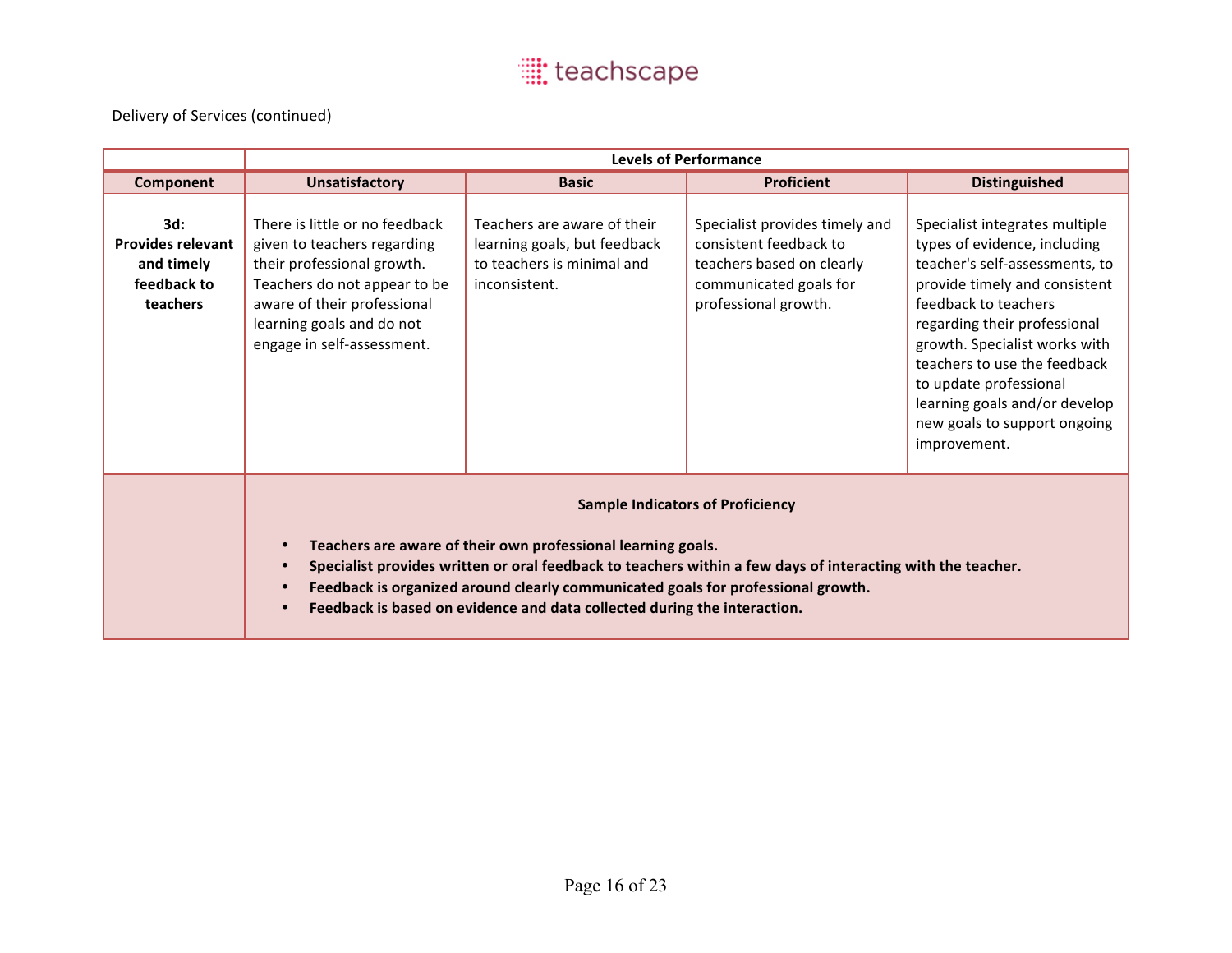|                                                                          | <b>Levels of Performance</b>                                                                                                                                                                                                                                                                                                                                                                                                               |                                                                                                            |                                                                                                                                         |                                                                                                                                                                                                                                                                                                                                                                       |  |
|--------------------------------------------------------------------------|--------------------------------------------------------------------------------------------------------------------------------------------------------------------------------------------------------------------------------------------------------------------------------------------------------------------------------------------------------------------------------------------------------------------------------------------|------------------------------------------------------------------------------------------------------------|-----------------------------------------------------------------------------------------------------------------------------------------|-----------------------------------------------------------------------------------------------------------------------------------------------------------------------------------------------------------------------------------------------------------------------------------------------------------------------------------------------------------------------|--|
| Component                                                                | <b>Unsatisfactory</b>                                                                                                                                                                                                                                                                                                                                                                                                                      | <b>Basic</b>                                                                                               | <b>Proficient</b>                                                                                                                       | <b>Distinguished</b>                                                                                                                                                                                                                                                                                                                                                  |  |
| 3d:<br><b>Provides relevant</b><br>and timely<br>feedback to<br>teachers | There is little or no feedback<br>given to teachers regarding<br>their professional growth.<br>Teachers do not appear to be<br>aware of their professional<br>learning goals and do not<br>engage in self-assessment.                                                                                                                                                                                                                      | Teachers are aware of their<br>learning goals, but feedback<br>to teachers is minimal and<br>inconsistent. | Specialist provides timely and<br>consistent feedback to<br>teachers based on clearly<br>communicated goals for<br>professional growth. | Specialist integrates multiple<br>types of evidence, including<br>teacher's self-assessments, to<br>provide timely and consistent<br>feedback to teachers<br>regarding their professional<br>growth. Specialist works with<br>teachers to use the feedback<br>to update professional<br>learning goals and/or develop<br>new goals to support ongoing<br>improvement. |  |
|                                                                          | <b>Sample Indicators of Proficiency</b><br>Teachers are aware of their own professional learning goals.<br>$\bullet$<br>Specialist provides written or oral feedback to teachers within a few days of interacting with the teacher.<br>$\bullet$<br>Feedback is organized around clearly communicated goals for professional growth.<br>$\bullet$<br>Feedback is based on evidence and data collected during the interaction.<br>$\bullet$ |                                                                                                            |                                                                                                                                         |                                                                                                                                                                                                                                                                                                                                                                       |  |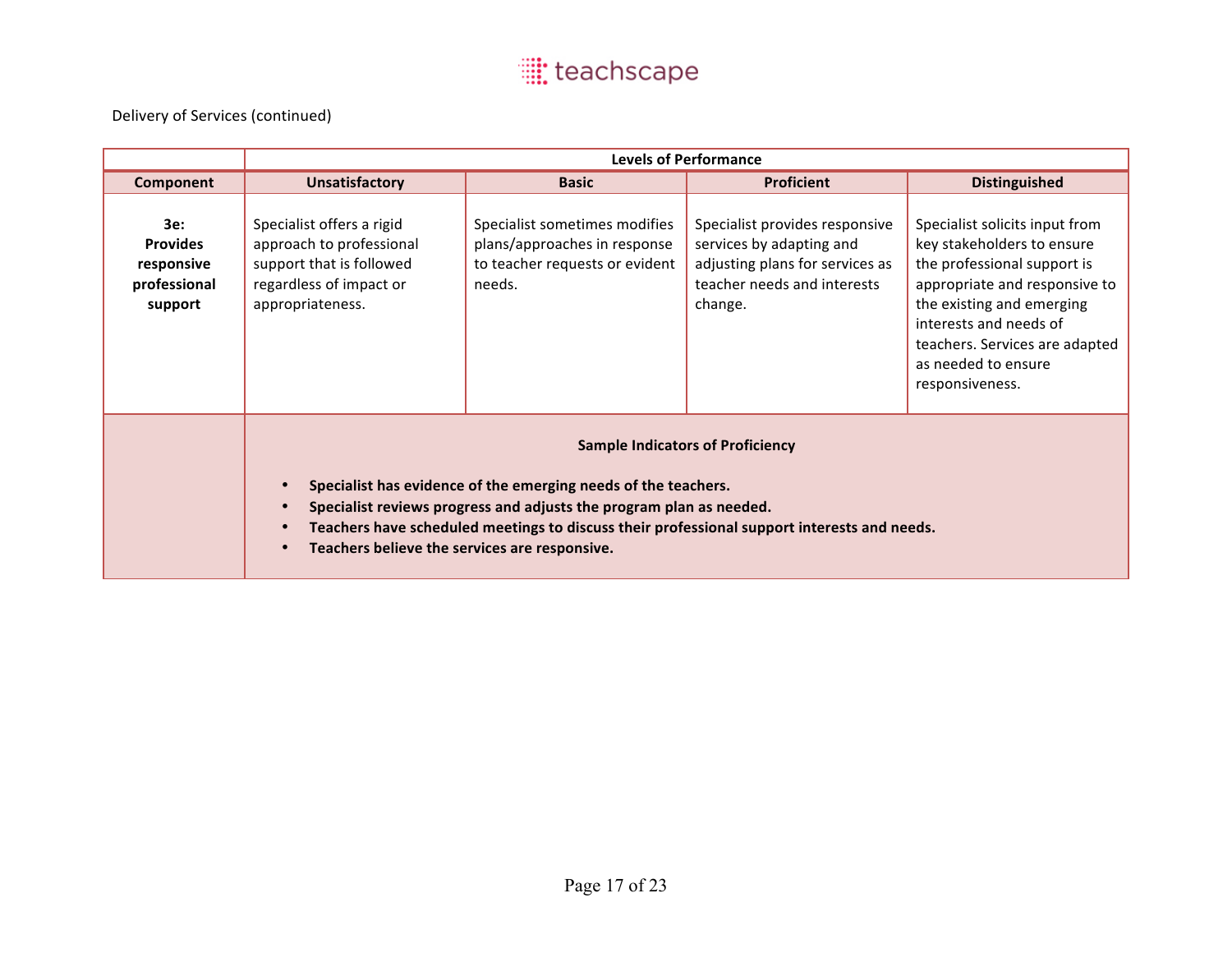|                                                                 | <b>Levels of Performance</b>                                                                                                                                                                                                                                                                                                                               |                                                                                                           |                                                                                                                                         |                                                                                                                                                                                                                                                                 |  |
|-----------------------------------------------------------------|------------------------------------------------------------------------------------------------------------------------------------------------------------------------------------------------------------------------------------------------------------------------------------------------------------------------------------------------------------|-----------------------------------------------------------------------------------------------------------|-----------------------------------------------------------------------------------------------------------------------------------------|-----------------------------------------------------------------------------------------------------------------------------------------------------------------------------------------------------------------------------------------------------------------|--|
| Component                                                       | <b>Unsatisfactory</b>                                                                                                                                                                                                                                                                                                                                      | <b>Basic</b>                                                                                              | <b>Proficient</b>                                                                                                                       | <b>Distinguished</b>                                                                                                                                                                                                                                            |  |
| 3e:<br><b>Provides</b><br>responsive<br>professional<br>support | Specialist offers a rigid<br>approach to professional<br>support that is followed<br>regardless of impact or<br>appropriateness.                                                                                                                                                                                                                           | Specialist sometimes modifies<br>plans/approaches in response<br>to teacher requests or evident<br>needs. | Specialist provides responsive<br>services by adapting and<br>adjusting plans for services as<br>teacher needs and interests<br>change. | Specialist solicits input from<br>key stakeholders to ensure<br>the professional support is<br>appropriate and responsive to<br>the existing and emerging<br>interests and needs of<br>teachers. Services are adapted<br>as needed to ensure<br>responsiveness. |  |
|                                                                 | <b>Sample Indicators of Proficiency</b><br>Specialist has evidence of the emerging needs of the teachers.<br>$\bullet$<br>Specialist reviews progress and adjusts the program plan as needed.<br>$\bullet$<br>Teachers have scheduled meetings to discuss their professional support interests and needs.<br>Teachers believe the services are responsive. |                                                                                                           |                                                                                                                                         |                                                                                                                                                                                                                                                                 |  |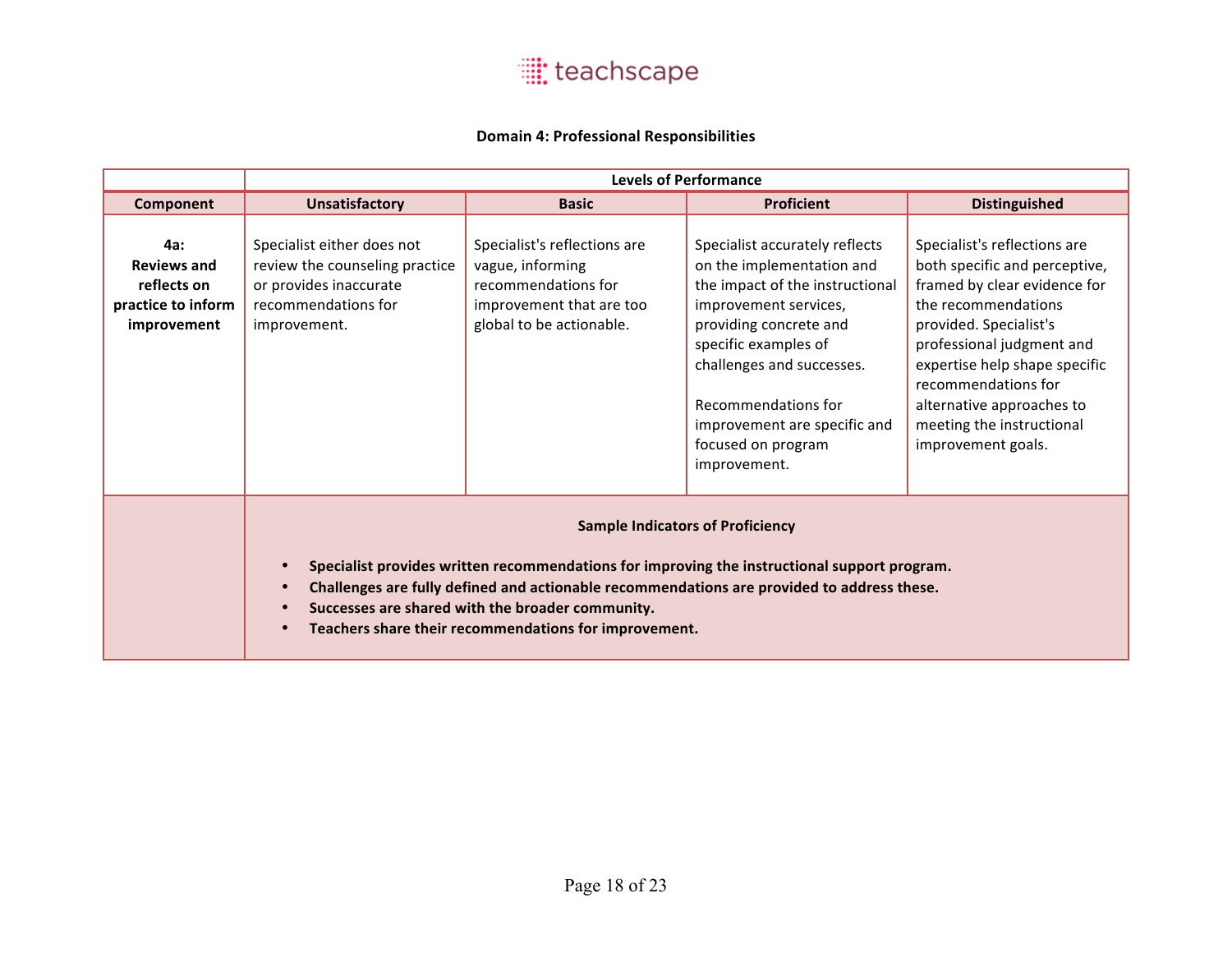

#### **Domain 4: Professional Responsibilities**

|                                                                                      | <b>Levels of Performance</b>                                                                                                                                                                                                                                                                                                                                                 |                                                                                                                                 |                                                                                                                                                                                                                                                                                                     |                                                                                                                                                                                                                                                                                                                     |  |
|--------------------------------------------------------------------------------------|------------------------------------------------------------------------------------------------------------------------------------------------------------------------------------------------------------------------------------------------------------------------------------------------------------------------------------------------------------------------------|---------------------------------------------------------------------------------------------------------------------------------|-----------------------------------------------------------------------------------------------------------------------------------------------------------------------------------------------------------------------------------------------------------------------------------------------------|---------------------------------------------------------------------------------------------------------------------------------------------------------------------------------------------------------------------------------------------------------------------------------------------------------------------|--|
| Component                                                                            | <b>Unsatisfactory</b>                                                                                                                                                                                                                                                                                                                                                        | <b>Basic</b>                                                                                                                    | <b>Proficient</b>                                                                                                                                                                                                                                                                                   | <b>Distinguished</b>                                                                                                                                                                                                                                                                                                |  |
| <b>4a:</b><br><b>Reviews and</b><br>reflects on<br>practice to inform<br>improvement | Specialist either does not<br>review the counseling practice<br>or provides inaccurate<br>recommendations for<br>improvement.                                                                                                                                                                                                                                                | Specialist's reflections are<br>vague, informing<br>recommendations for<br>improvement that are too<br>global to be actionable. | Specialist accurately reflects<br>on the implementation and<br>the impact of the instructional<br>improvement services,<br>providing concrete and<br>specific examples of<br>challenges and successes.<br>Recommendations for<br>improvement are specific and<br>focused on program<br>improvement. | Specialist's reflections are<br>both specific and perceptive,<br>framed by clear evidence for<br>the recommendations<br>provided. Specialist's<br>professional judgment and<br>expertise help shape specific<br>recommendations for<br>alternative approaches to<br>meeting the instructional<br>improvement goals. |  |
|                                                                                      | <b>Sample Indicators of Proficiency</b><br>Specialist provides written recommendations for improving the instructional support program.<br>Challenges are fully defined and actionable recommendations are provided to address these.<br>$\bullet$<br>Successes are shared with the broader community.<br>Teachers share their recommendations for improvement.<br>$\bullet$ |                                                                                                                                 |                                                                                                                                                                                                                                                                                                     |                                                                                                                                                                                                                                                                                                                     |  |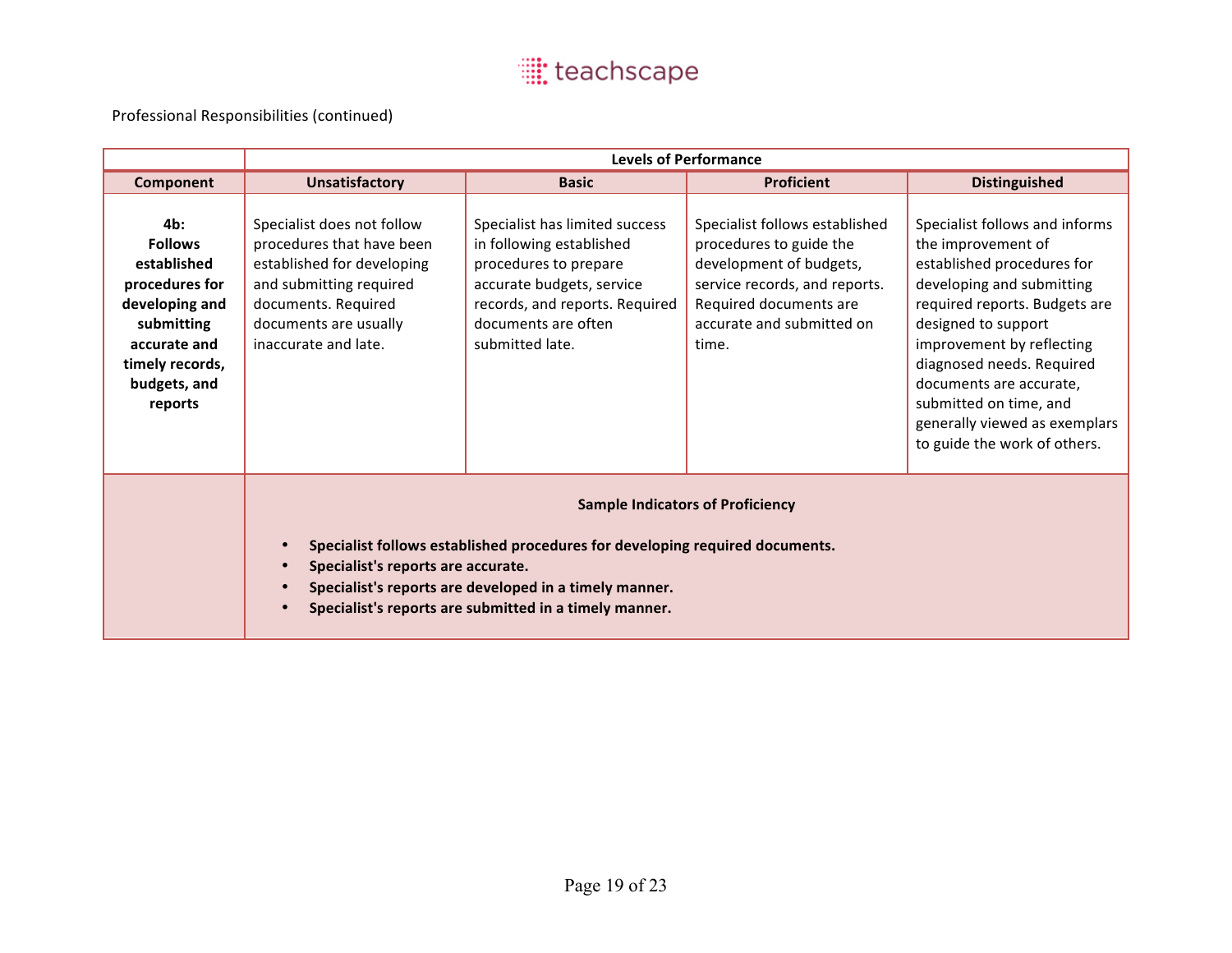|                                                                                                                                                      | <b>Levels of Performance</b>                                                                                                                                                                                                                                                                                             |                                                                                                                                                                                              |                                                                                                                                                                                       |                                                                                                                                                                                                                                                                                                                                                         |  |
|------------------------------------------------------------------------------------------------------------------------------------------------------|--------------------------------------------------------------------------------------------------------------------------------------------------------------------------------------------------------------------------------------------------------------------------------------------------------------------------|----------------------------------------------------------------------------------------------------------------------------------------------------------------------------------------------|---------------------------------------------------------------------------------------------------------------------------------------------------------------------------------------|---------------------------------------------------------------------------------------------------------------------------------------------------------------------------------------------------------------------------------------------------------------------------------------------------------------------------------------------------------|--|
| Component                                                                                                                                            | <b>Unsatisfactory</b>                                                                                                                                                                                                                                                                                                    | <b>Basic</b>                                                                                                                                                                                 | <b>Proficient</b>                                                                                                                                                                     | <b>Distinguished</b>                                                                                                                                                                                                                                                                                                                                    |  |
| 4b:<br><b>Follows</b><br>established<br>procedures for<br>developing and<br>submitting<br>accurate and<br>timely records,<br>budgets, and<br>reports | Specialist does not follow<br>procedures that have been<br>established for developing<br>and submitting required<br>documents. Required<br>documents are usually<br>inaccurate and late.                                                                                                                                 | Specialist has limited success<br>in following established<br>procedures to prepare<br>accurate budgets, service<br>records, and reports. Required<br>documents are often<br>submitted late. | Specialist follows established<br>procedures to guide the<br>development of budgets,<br>service records, and reports.<br>Required documents are<br>accurate and submitted on<br>time. | Specialist follows and informs<br>the improvement of<br>established procedures for<br>developing and submitting<br>required reports. Budgets are<br>designed to support<br>improvement by reflecting<br>diagnosed needs. Required<br>documents are accurate,<br>submitted on time, and<br>generally viewed as exemplars<br>to guide the work of others. |  |
|                                                                                                                                                      | <b>Sample Indicators of Proficiency</b><br>Specialist follows established procedures for developing required documents.<br>$\bullet$<br>Specialist's reports are accurate.<br>$\bullet$<br>Specialist's reports are developed in a timely manner.<br>$\bullet$<br>Specialist's reports are submitted in a timely manner. |                                                                                                                                                                                              |                                                                                                                                                                                       |                                                                                                                                                                                                                                                                                                                                                         |  |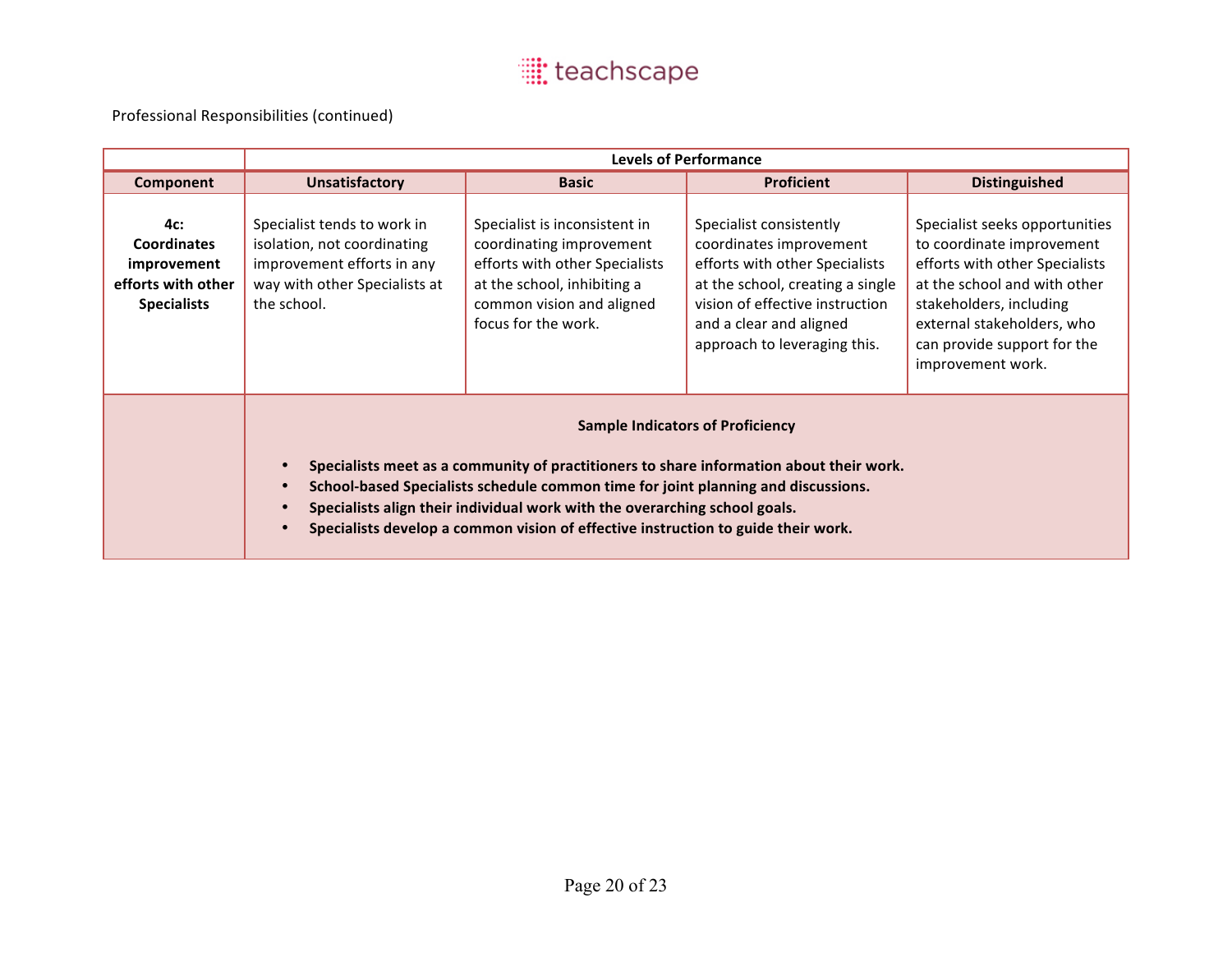|                                                                                      | <b>Levels of Performance</b>                                                                                                                                                                                                                                                                                                                                                                                                                   |                                                                                                                                                                                |                                                                                                                                                                                                                        |                                                                                                                                                                                                                                            |  |  |
|--------------------------------------------------------------------------------------|------------------------------------------------------------------------------------------------------------------------------------------------------------------------------------------------------------------------------------------------------------------------------------------------------------------------------------------------------------------------------------------------------------------------------------------------|--------------------------------------------------------------------------------------------------------------------------------------------------------------------------------|------------------------------------------------------------------------------------------------------------------------------------------------------------------------------------------------------------------------|--------------------------------------------------------------------------------------------------------------------------------------------------------------------------------------------------------------------------------------------|--|--|
| Component                                                                            | <b>Unsatisfactory</b>                                                                                                                                                                                                                                                                                                                                                                                                                          | <b>Basic</b>                                                                                                                                                                   | <b>Proficient</b>                                                                                                                                                                                                      | <b>Distinguished</b>                                                                                                                                                                                                                       |  |  |
| 4c:<br><b>Coordinates</b><br>improvement<br>efforts with other<br><b>Specialists</b> | Specialist tends to work in<br>isolation, not coordinating<br>improvement efforts in any<br>way with other Specialists at<br>the school.                                                                                                                                                                                                                                                                                                       | Specialist is inconsistent in<br>coordinating improvement<br>efforts with other Specialists<br>at the school, inhibiting a<br>common vision and aligned<br>focus for the work. | Specialist consistently<br>coordinates improvement<br>efforts with other Specialists<br>at the school, creating a single<br>vision of effective instruction<br>and a clear and aligned<br>approach to leveraging this. | Specialist seeks opportunities<br>to coordinate improvement<br>efforts with other Specialists<br>at the school and with other<br>stakeholders, including<br>external stakeholders, who<br>can provide support for the<br>improvement work. |  |  |
|                                                                                      | <b>Sample Indicators of Proficiency</b><br>Specialists meet as a community of practitioners to share information about their work.<br>$\bullet$<br>School-based Specialists schedule common time for joint planning and discussions.<br>$\bullet$<br>Specialists align their individual work with the overarching school goals.<br>$\bullet$<br>Specialists develop a common vision of effective instruction to guide their work.<br>$\bullet$ |                                                                                                                                                                                |                                                                                                                                                                                                                        |                                                                                                                                                                                                                                            |  |  |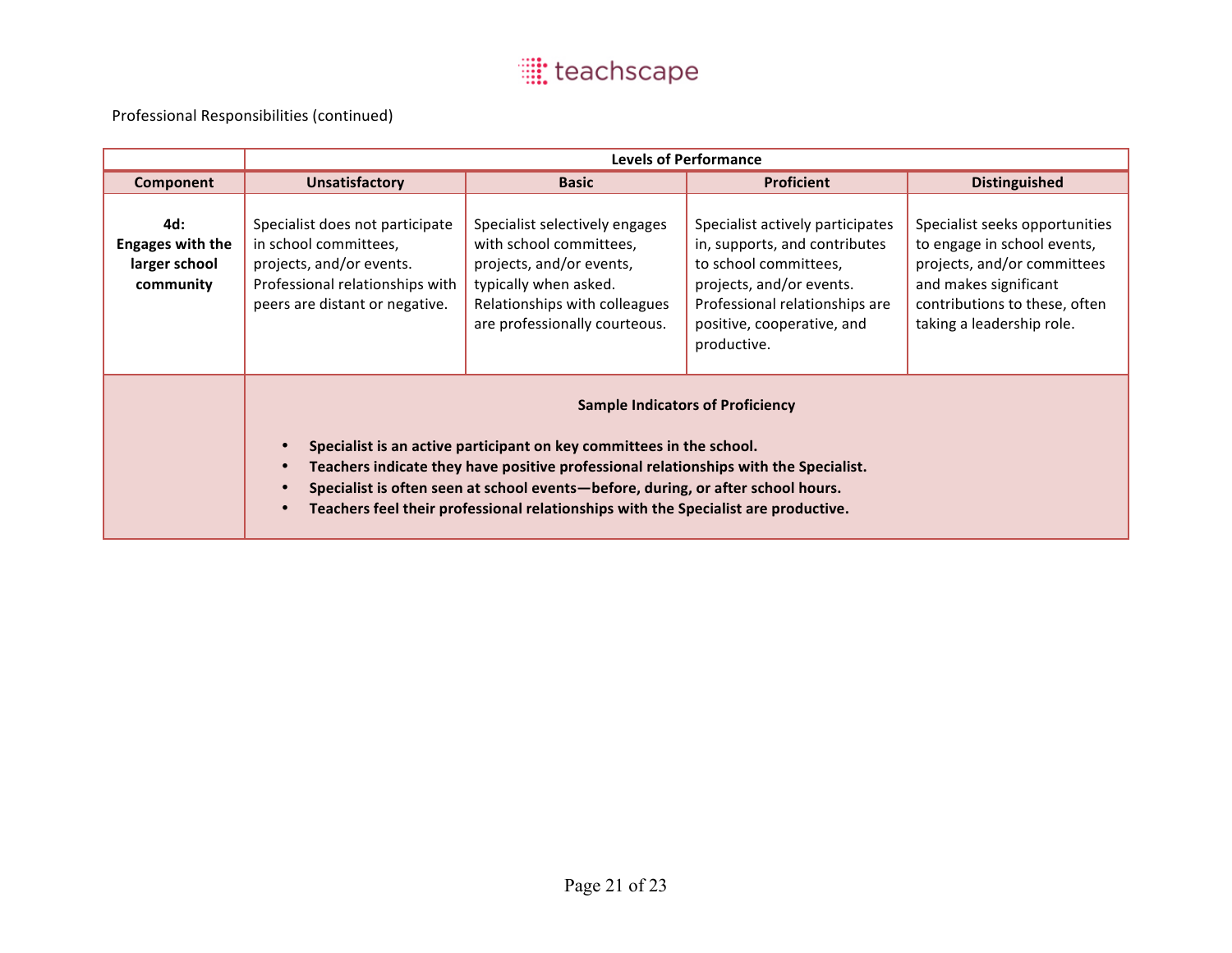|                                                              | <b>Levels of Performance</b>                                                                                                                                                                                                                                                                                                                                                      |                                                                                                                                                                                  |                                                                                                                                                                                                       |                                                                                                                                                                                     |  |
|--------------------------------------------------------------|-----------------------------------------------------------------------------------------------------------------------------------------------------------------------------------------------------------------------------------------------------------------------------------------------------------------------------------------------------------------------------------|----------------------------------------------------------------------------------------------------------------------------------------------------------------------------------|-------------------------------------------------------------------------------------------------------------------------------------------------------------------------------------------------------|-------------------------------------------------------------------------------------------------------------------------------------------------------------------------------------|--|
| Component                                                    | <b>Unsatisfactory</b>                                                                                                                                                                                                                                                                                                                                                             | <b>Basic</b>                                                                                                                                                                     | <b>Proficient</b>                                                                                                                                                                                     | <b>Distinguished</b>                                                                                                                                                                |  |
| 4d:<br><b>Engages with the</b><br>larger school<br>community | Specialist does not participate<br>in school committees,<br>projects, and/or events.<br>Professional relationships with<br>peers are distant or negative.                                                                                                                                                                                                                         | Specialist selectively engages<br>with school committees,<br>projects, and/or events,<br>typically when asked.<br>Relationships with colleagues<br>are professionally courteous. | Specialist actively participates<br>in, supports, and contributes<br>to school committees,<br>projects, and/or events.<br>Professional relationships are<br>positive, cooperative, and<br>productive. | Specialist seeks opportunities<br>to engage in school events,<br>projects, and/or committees<br>and makes significant<br>contributions to these, often<br>taking a leadership role. |  |
|                                                              | <b>Sample Indicators of Proficiency</b><br>Specialist is an active participant on key committees in the school.<br>Teachers indicate they have positive professional relationships with the Specialist.<br>Specialist is often seen at school events-before, during, or after school hours.<br>Teachers feel their professional relationships with the Specialist are productive. |                                                                                                                                                                                  |                                                                                                                                                                                                       |                                                                                                                                                                                     |  |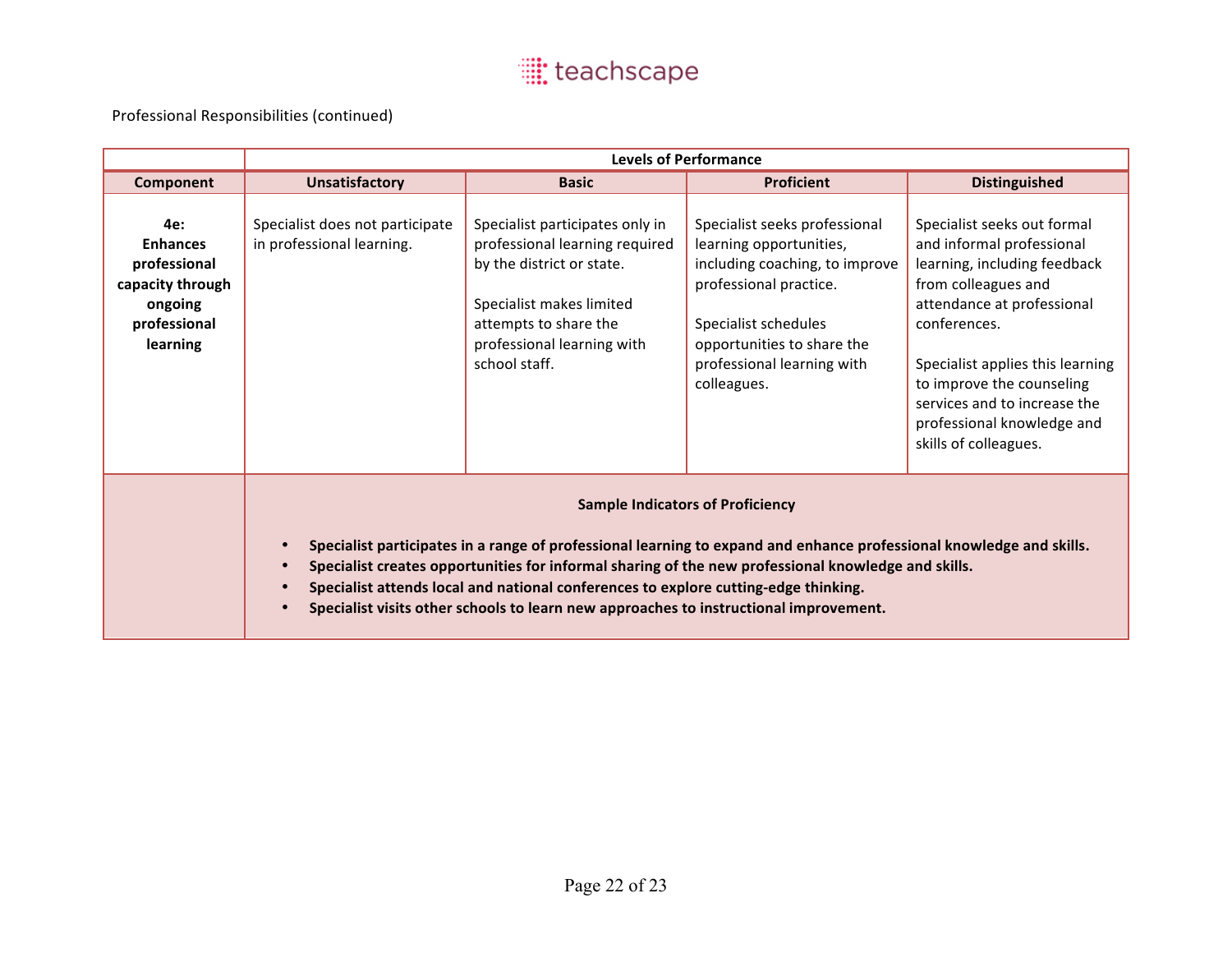|                                                                                                   | <b>Levels of Performance</b>                                                                                                                                                                                                                                                                                                                                                                                                                                                                  |                                                                                                                                                                                                    |                                                                                                                                                                                                                         |                                                                                                                                                                                                                                                                                                                       |  |
|---------------------------------------------------------------------------------------------------|-----------------------------------------------------------------------------------------------------------------------------------------------------------------------------------------------------------------------------------------------------------------------------------------------------------------------------------------------------------------------------------------------------------------------------------------------------------------------------------------------|----------------------------------------------------------------------------------------------------------------------------------------------------------------------------------------------------|-------------------------------------------------------------------------------------------------------------------------------------------------------------------------------------------------------------------------|-----------------------------------------------------------------------------------------------------------------------------------------------------------------------------------------------------------------------------------------------------------------------------------------------------------------------|--|
| Component                                                                                         | <b>Unsatisfactory</b>                                                                                                                                                                                                                                                                                                                                                                                                                                                                         | <b>Basic</b>                                                                                                                                                                                       | <b>Proficient</b>                                                                                                                                                                                                       | <b>Distinguished</b>                                                                                                                                                                                                                                                                                                  |  |
| 4e:<br><b>Enhances</b><br>professional<br>capacity through<br>ongoing<br>professional<br>learning | Specialist does not participate<br>in professional learning.                                                                                                                                                                                                                                                                                                                                                                                                                                  | Specialist participates only in<br>professional learning required<br>by the district or state.<br>Specialist makes limited<br>attempts to share the<br>professional learning with<br>school staff. | Specialist seeks professional<br>learning opportunities,<br>including coaching, to improve<br>professional practice.<br>Specialist schedules<br>opportunities to share the<br>professional learning with<br>colleagues. | Specialist seeks out formal<br>and informal professional<br>learning, including feedback<br>from colleagues and<br>attendance at professional<br>conferences.<br>Specialist applies this learning<br>to improve the counseling<br>services and to increase the<br>professional knowledge and<br>skills of colleagues. |  |
|                                                                                                   | <b>Sample Indicators of Proficiency</b><br>Specialist participates in a range of professional learning to expand and enhance professional knowledge and skills.<br>$\bullet$<br>Specialist creates opportunities for informal sharing of the new professional knowledge and skills.<br>$\bullet$<br>Specialist attends local and national conferences to explore cutting-edge thinking.<br>$\bullet$<br>Specialist visits other schools to learn new approaches to instructional improvement. |                                                                                                                                                                                                    |                                                                                                                                                                                                                         |                                                                                                                                                                                                                                                                                                                       |  |